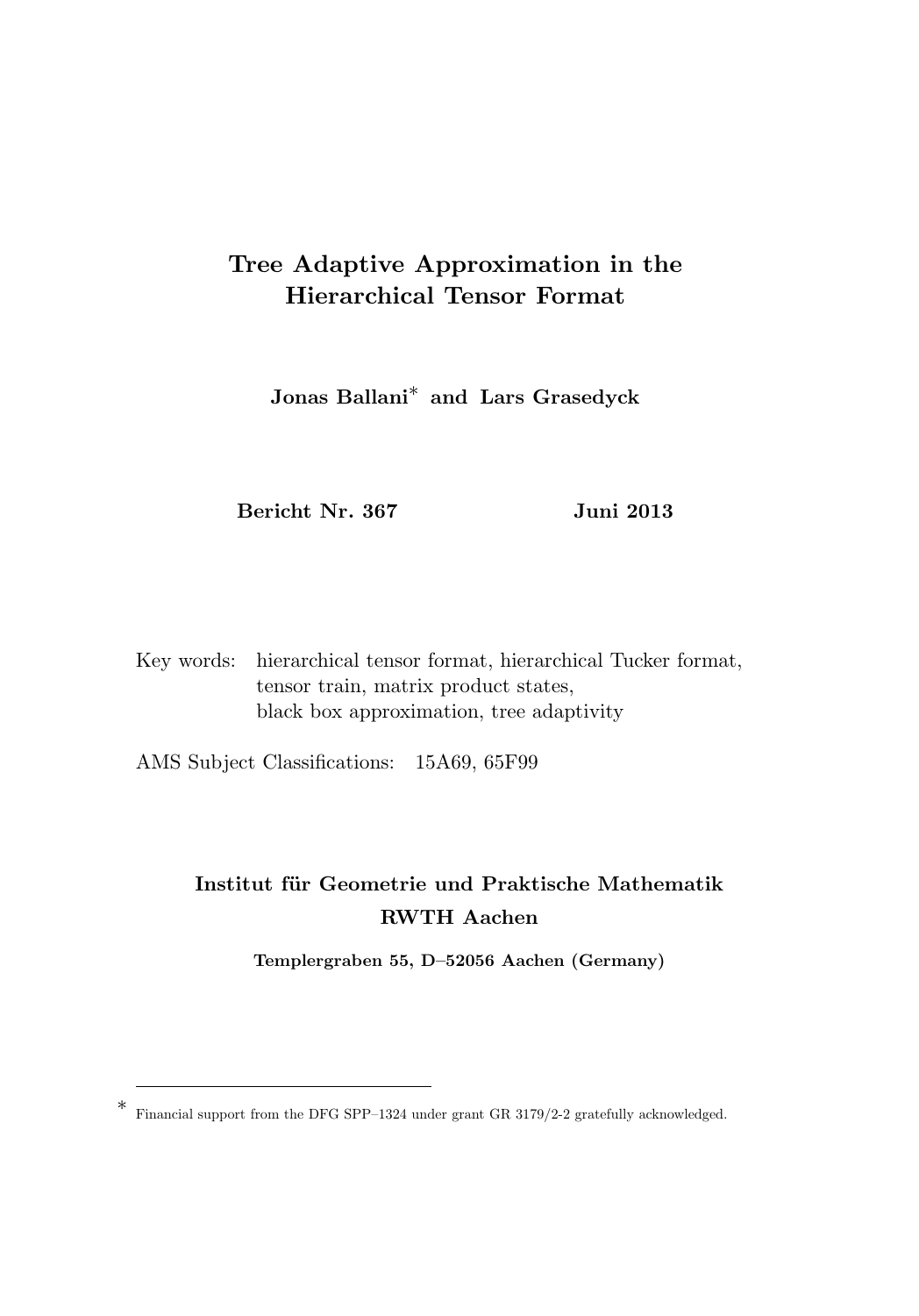# Tree Adaptive Approximation in the Hierarchical Tensor Format

Jonas Ballani<sup>∗</sup> and Lars Grasedyck

Bericht Nr. 367 Juni 2013

Key words: hierarchical tensor format, hierarchical Tucker format, tensor train, matrix product states, black box approximation, tree adaptivity

AMS Subject Classifications: 15A69, 65F99

## Institut für Geometrie und Praktische Mathematik RWTH Aachen

Templergraben 55, D–52056 Aachen (Germany)

<sup>∗</sup> Financial support from the DFG SPP–1324 under grant GR 3179/2-2 gratefully acknowledged.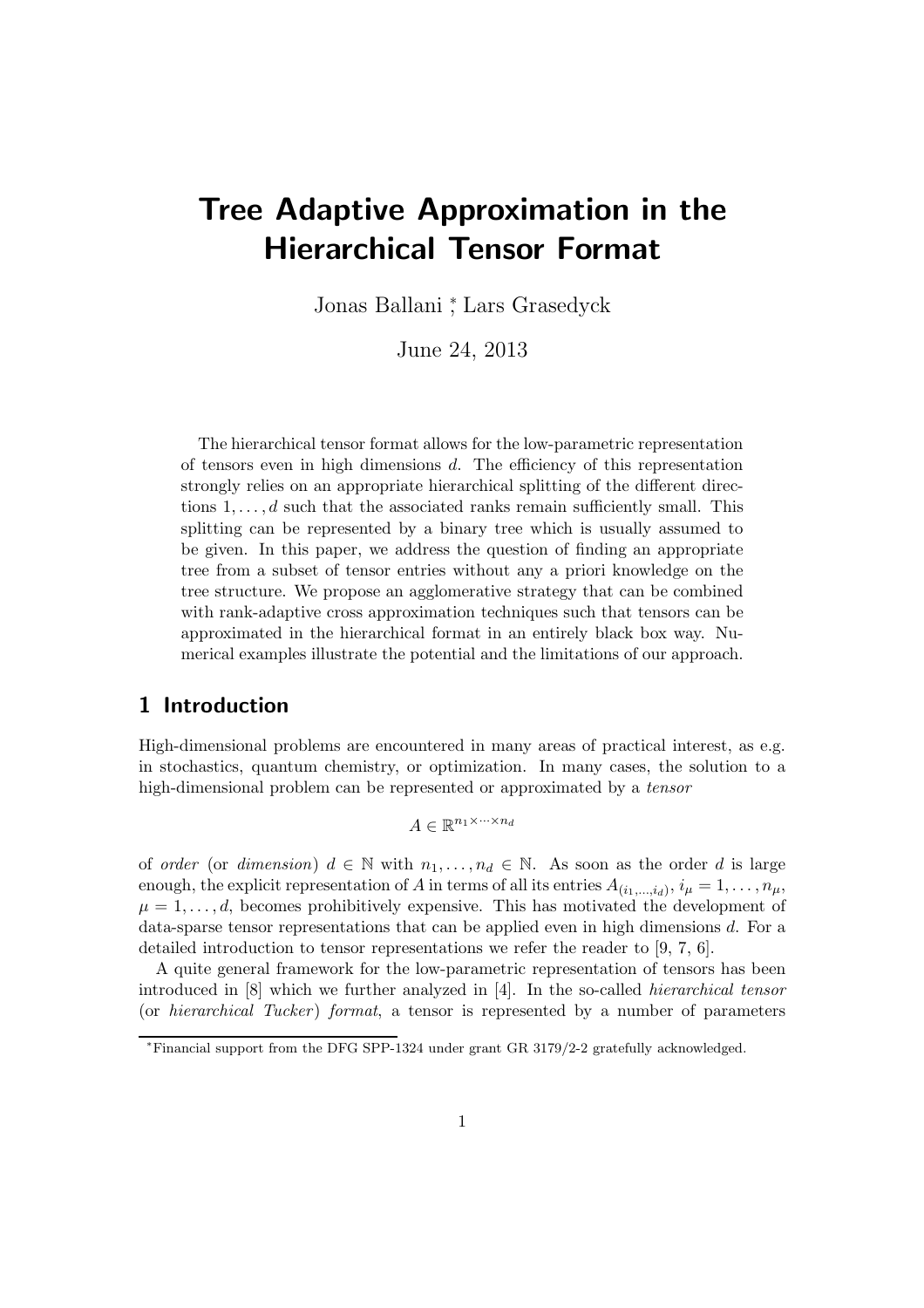# Tree Adaptive Approximation in the Hierarchical Tensor Format

Jonas Ballani<sup>\*</sup>, Lars Grasedyck

June 24, 2013

The hierarchical tensor format allows for the low-parametric representation of tensors even in high dimensions d. The efficiency of this representation strongly relies on an appropriate hierarchical splitting of the different directions  $1, \ldots, d$  such that the associated ranks remain sufficiently small. This splitting can be represented by a binary tree which is usually assumed to be given. In this paper, we address the question of finding an appropriate tree from a subset of tensor entries without any a priori knowledge on the tree structure. We propose an agglomerative strategy that can be combined with rank-adaptive cross approximation techniques such that tensors can be approximated in the hierarchical format in an entirely black box way. Numerical examples illustrate the potential and the limitations of our approach.

## 1 Introduction

High-dimensional problems are encountered in many areas of practical interest, as e.g. in stochastics, quantum chemistry, or optimization. In many cases, the solution to a high-dimensional problem can be represented or approximated by a tensor

 $A \in \mathbb{R}^{n_1 \times \cdots \times n_d}$ 

of order (or dimension)  $d \in \mathbb{N}$  with  $n_1, \ldots, n_d \in \mathbb{N}$ . As soon as the order d is large enough, the explicit representation of A in terms of all its entries  $A_{(i_1,...,i_d)}$ ,  $i_\mu = 1,\ldots,n_\mu,$  $\mu = 1, \ldots, d$ , becomes prohibitively expensive. This has motivated the development of data-sparse tensor representations that can be applied even in high dimensions d. For a detailed introduction to tensor representations we refer the reader to [9, 7, 6].

A quite general framework for the low-parametric representation of tensors has been introduced in [8] which we further analyzed in [4]. In the so-called hierarchical tensor (or *hierarchical Tucker*) *format*, a tensor is represented by a number of parameters

<sup>∗</sup>Financial support from the DFG SPP-1324 under grant GR 3179/2-2 gratefully acknowledged.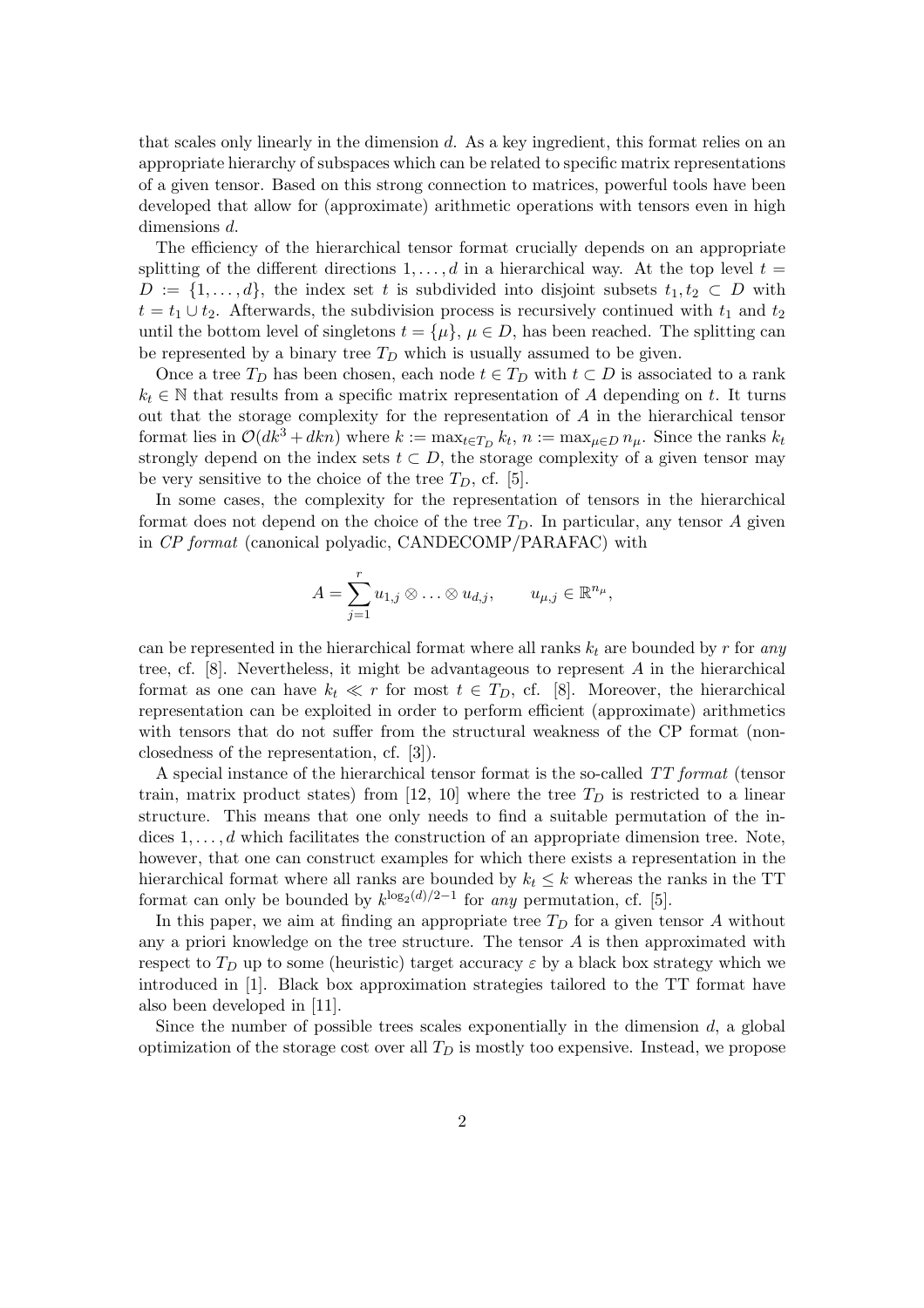that scales only linearly in the dimension d. As a key ingredient, this format relies on an appropriate hierarchy of subspaces which can be related to specific matrix representations of a given tensor. Based on this strong connection to matrices, powerful tools have been developed that allow for (approximate) arithmetic operations with tensors even in high dimensions d.

The efficiency of the hierarchical tensor format crucially depends on an appropriate splitting of the different directions  $1, \ldots, d$  in a hierarchical way. At the top level  $t =$  $D := \{1, \ldots, d\}$ , the index set t is subdivided into disjoint subsets  $t_1, t_2 \subset D$  with  $t = t_1 \cup t_2$ . Afterwards, the subdivision process is recursively continued with  $t_1$  and  $t_2$ until the bottom level of singletons  $t = {\mu}$ ,  $\mu \in D$ , has been reached. The splitting can be represented by a binary tree  $T_D$  which is usually assumed to be given.

Once a tree  $T_D$  has been chosen, each node  $t \in T_D$  with  $t \subset D$  is associated to a rank  $k_t \in \mathbb{N}$  that results from a specific matrix representation of A depending on t. It turns out that the storage complexity for the representation of  $A$  in the hierarchical tensor format lies in  $\mathcal{O}(dk^3 + dkn)$  where  $k := \max_{t \in T_D} k_t$ ,  $n := \max_{\mu \in D} n_{\mu}$ . Since the ranks  $k_t$ strongly depend on the index sets  $t \subset D$ , the storage complexity of a given tensor may be very sensitive to the choice of the tree  $T_D$ , cf. [5].

In some cases, the complexity for the representation of tensors in the hierarchical format does not depend on the choice of the tree  $T<sub>D</sub>$ . In particular, any tensor A given in CP format (canonical polyadic, CANDECOMP/PARAFAC) with

$$
A = \sum_{j=1}^r u_{1,j} \otimes \ldots \otimes u_{d,j}, \qquad u_{\mu,j} \in \mathbb{R}^{n_{\mu}},
$$

can be represented in the hierarchical format where all ranks  $k_t$  are bounded by r for any tree, cf.  $[8]$ . Nevertheless, it might be advantageous to represent A in the hierarchical format as one can have  $k_t \ll r$  for most  $t \in T_D$ , cf. [8]. Moreover, the hierarchical representation can be exploited in order to perform efficient (approximate) arithmetics with tensors that do not suffer from the structural weakness of the CP format (nonclosedness of the representation, cf. [3]).

A special instance of the hierarchical tensor format is the so-called TT format (tensor train, matrix product states) from [12, 10] where the tree  $T_D$  is restricted to a linear structure. This means that one only needs to find a suitable permutation of the indices  $1, \ldots, d$  which facilitates the construction of an appropriate dimension tree. Note, however, that one can construct examples for which there exists a representation in the hierarchical format where all ranks are bounded by  $k_t \leq k$  whereas the ranks in the TT format can only be bounded by  $k^{\log_2(d)/2-1}$  for any permutation, cf. [5].

In this paper, we aim at finding an appropriate tree  $T<sub>D</sub>$  for a given tensor A without any a priori knowledge on the tree structure. The tensor  $A$  is then approximated with respect to  $T_D$  up to some (heuristic) target accuracy  $\varepsilon$  by a black box strategy which we introduced in [1]. Black box approximation strategies tailored to the TT format have also been developed in [11].

Since the number of possible trees scales exponentially in the dimension  $d$ , a global optimization of the storage cost over all  $T<sub>D</sub>$  is mostly too expensive. Instead, we propose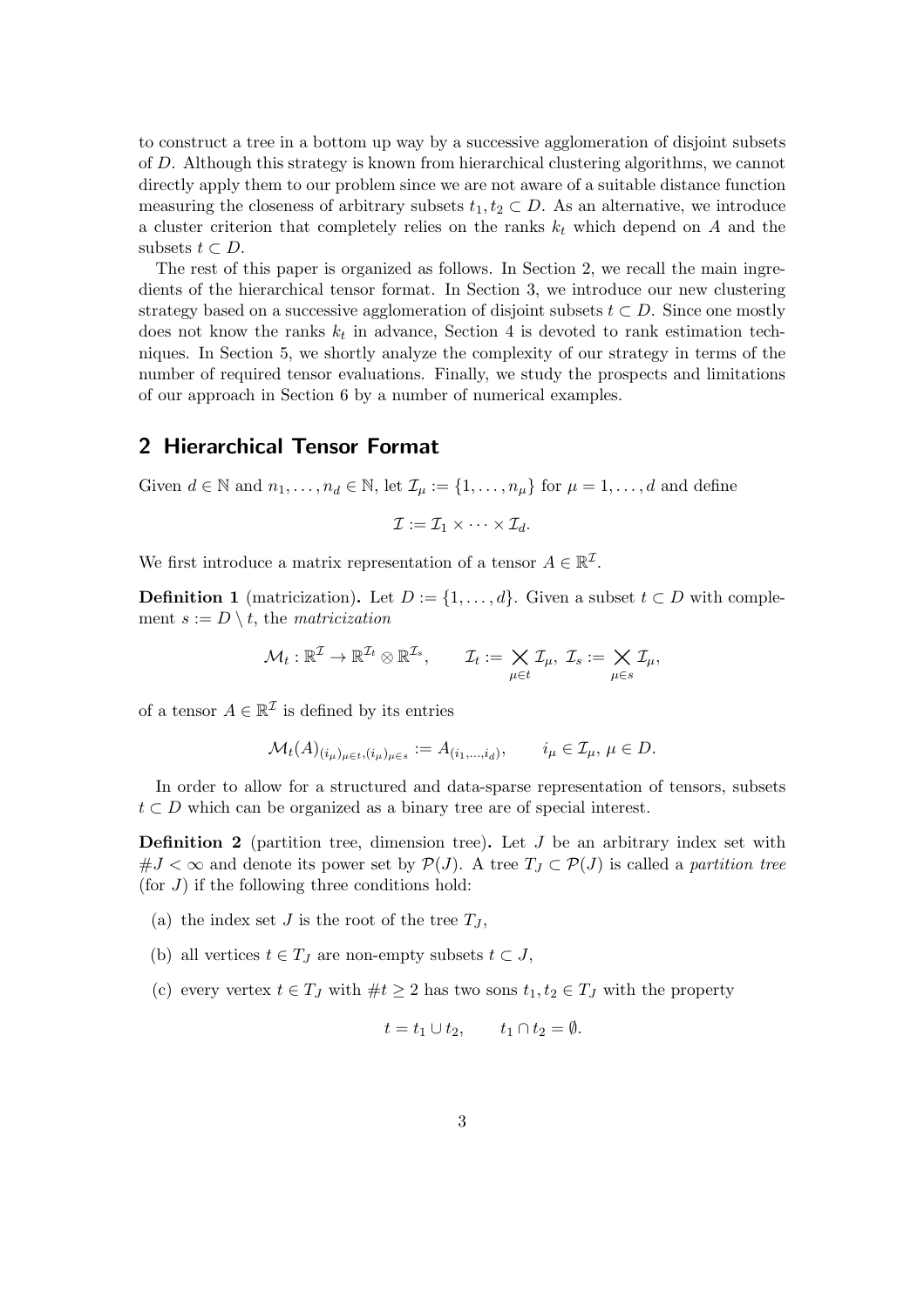to construct a tree in a bottom up way by a successive agglomeration of disjoint subsets of D. Although this strategy is known from hierarchical clustering algorithms, we cannot directly apply them to our problem since we are not aware of a suitable distance function measuring the closeness of arbitrary subsets  $t_1, t_2 \subset D$ . As an alternative, we introduce a cluster criterion that completely relies on the ranks  $k_t$  which depend on A and the subsets  $t \subset D$ .

The rest of this paper is organized as follows. In Section 2, we recall the main ingredients of the hierarchical tensor format. In Section 3, we introduce our new clustering strategy based on a successive agglomeration of disjoint subsets  $t \subset D$ . Since one mostly does not know the ranks  $k_t$  in advance, Section 4 is devoted to rank estimation techniques. In Section 5, we shortly analyze the complexity of our strategy in terms of the number of required tensor evaluations. Finally, we study the prospects and limitations of our approach in Section 6 by a number of numerical examples.

## 2 Hierarchical Tensor Format

Given  $d \in \mathbb{N}$  and  $n_1, \ldots, n_d \in \mathbb{N}$ , let  $\mathcal{I}_u := \{1, \ldots, n_u\}$  for  $\mu = 1, \ldots, d$  and define

$$
\mathcal{I} := \mathcal{I}_1 \times \cdots \times \mathcal{I}_d.
$$

We first introduce a matrix representation of a tensor  $A \in \mathbb{R}^{\mathcal{I}}$ .

**Definition 1** (matricization). Let  $D := \{1, \ldots, d\}$ . Given a subset  $t \subset D$  with complement  $s := D \setminus t$ , the matricization

$$
\mathcal{M}_t: \mathbb{R}^\mathcal{I} \to \mathbb{R}^{\mathcal{I}_t} \otimes \mathbb{R}^{\mathcal{I}_s}, \qquad \mathcal{I}_t := \bigtimes_{\mu \in t} \mathcal{I}_\mu, \ \mathcal{I}_s := \bigtimes_{\mu \in s} \mathcal{I}_\mu,
$$

of a tensor  $A \in \mathbb{R}^{\mathcal{I}}$  is defined by its entries

$$
\mathcal{M}_t(A)_{(i_\mu)_{\mu \in t}, (i_\mu)_{\mu \in s}} := A_{(i_1, \dots, i_d)}, \qquad i_\mu \in \mathcal{I}_\mu, \ \mu \in D.
$$

In order to allow for a structured and data-sparse representation of tensors, subsets  $t \subset D$  which can be organized as a binary tree are of special interest.

**Definition 2** (partition tree, dimension tree). Let  $J$  be an arbitrary index set with  $#J < \infty$  and denote its power set by  $\mathcal{P}(J)$ . A tree  $T_J \subset \mathcal{P}(J)$  is called a partition tree (for  $J$ ) if the following three conditions hold:

- (a) the index set J is the root of the tree  $T<sub>J</sub>$ ,
- (b) all vertices  $t \in T_J$  are non-empty subsets  $t \subset J$ ,
- (c) every vertex  $t \in T_J$  with  $\#t \geq 2$  has two sons  $t_1, t_2 \in T_J$  with the property

$$
t = t_1 \cup t_2, \qquad t_1 \cap t_2 = \emptyset.
$$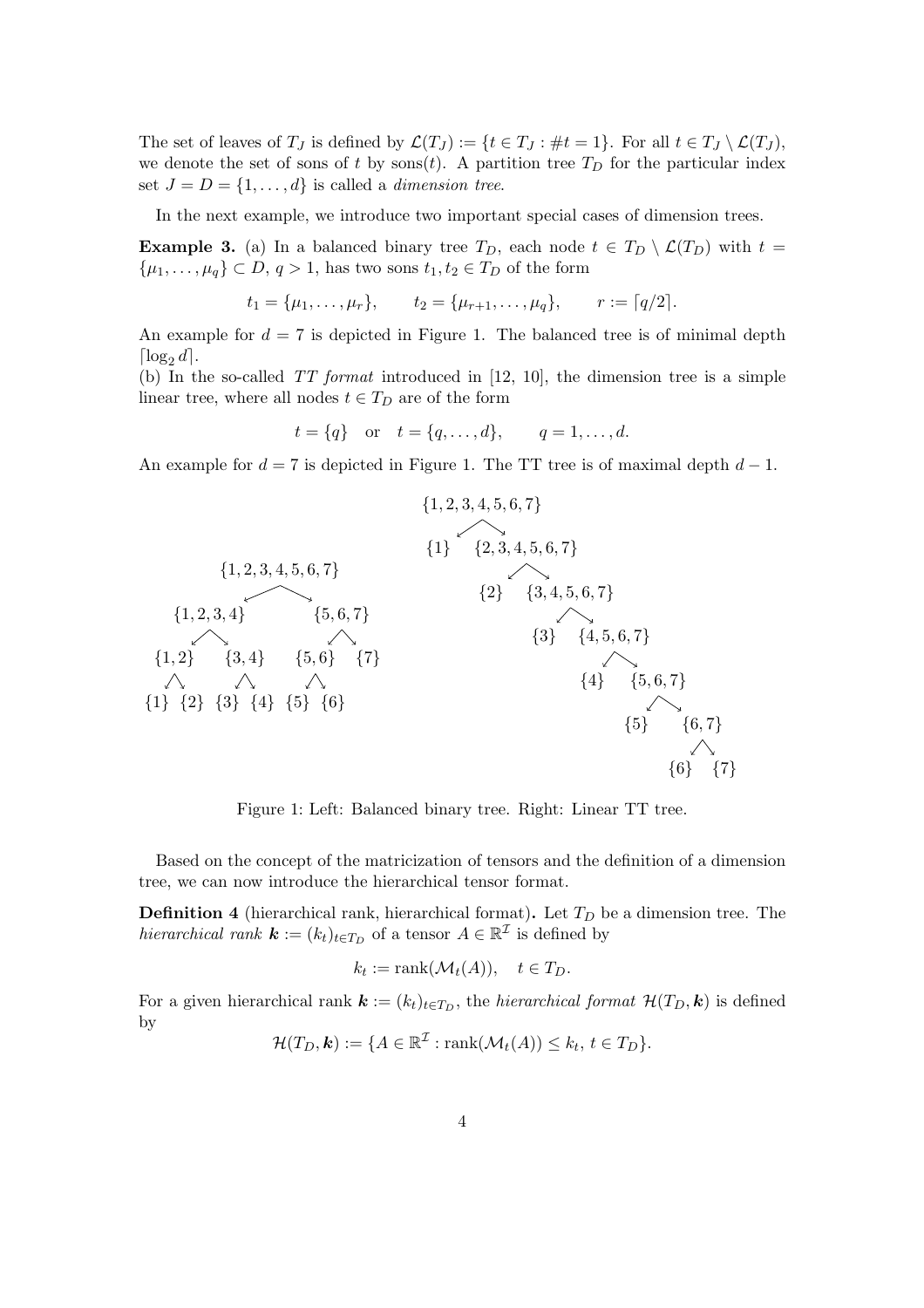The set of leaves of  $T_J$  is defined by  $\mathcal{L}(T_J) := \{t \in T_J : \#t = 1\}$ . For all  $t \in T_J \setminus \mathcal{L}(T_J)$ , we denote the set of sons of t by  $\text{sons}(t)$ . A partition tree  $T_D$  for the particular index set  $J = D = \{1, \ldots, d\}$  is called a *dimension tree.* 

In the next example, we introduce two important special cases of dimension trees.

**Example 3.** (a) In a balanced binary tree  $T_D$ , each node  $t \in T_D \setminus \mathcal{L}(T_D)$  with  $t =$  $\{\mu_1, \ldots, \mu_q\} \subset D, q > 1$ , has two sons  $t_1, t_2 \in T_D$  of the form

$$
t_1 = {\mu_1, ..., \mu_r}, \qquad t_2 = {\mu_{r+1}, ..., \mu_q}, \qquad r := \lceil q/2 \rceil.
$$

An example for  $d = 7$  is depicted in Figure 1. The balanced tree is of minimal depth  $\lceil \log_2 d \rceil$ .

(b) In the so-called  $TT$  format introduced in [12, 10], the dimension tree is a simple linear tree, where all nodes  $t \in T_D$  are of the form

$$
t = \{q\}
$$
 or  $t = \{q, ..., d\}$ ,  $q = 1, ..., d$ .

An example for  $d = 7$  is depicted in Figure 1. The TT tree is of maximal depth  $d - 1$ .



Figure 1: Left: Balanced binary tree. Right: Linear TT tree.

Based on the concept of the matricization of tensors and the definition of a dimension tree, we can now introduce the hierarchical tensor format.

**Definition 4** (hierarchical rank, hierarchical format). Let  $T_D$  be a dimension tree. The hierarchical rank  $\mathbf{k} := (k_t)_{t \in T_D}$  of a tensor  $A \in \mathbb{R}^{\mathcal{I}}$  is defined by

$$
k_t := \operatorname{rank}(\mathcal{M}_t(A)), \quad t \in T_D.
$$

For a given hierarchical rank  $\mathbf{k} := (k_t)_{t \in T_D}$ , the *hierarchical format*  $\mathcal{H}(T_D, \mathbf{k})$  is defined by

$$
\mathcal{H}(T_D,\mathbf{k}) := \{A \in \mathbb{R}^{\mathcal{I}} : \text{rank}(\mathcal{M}_t(A)) \leq k_t, t \in T_D\}.
$$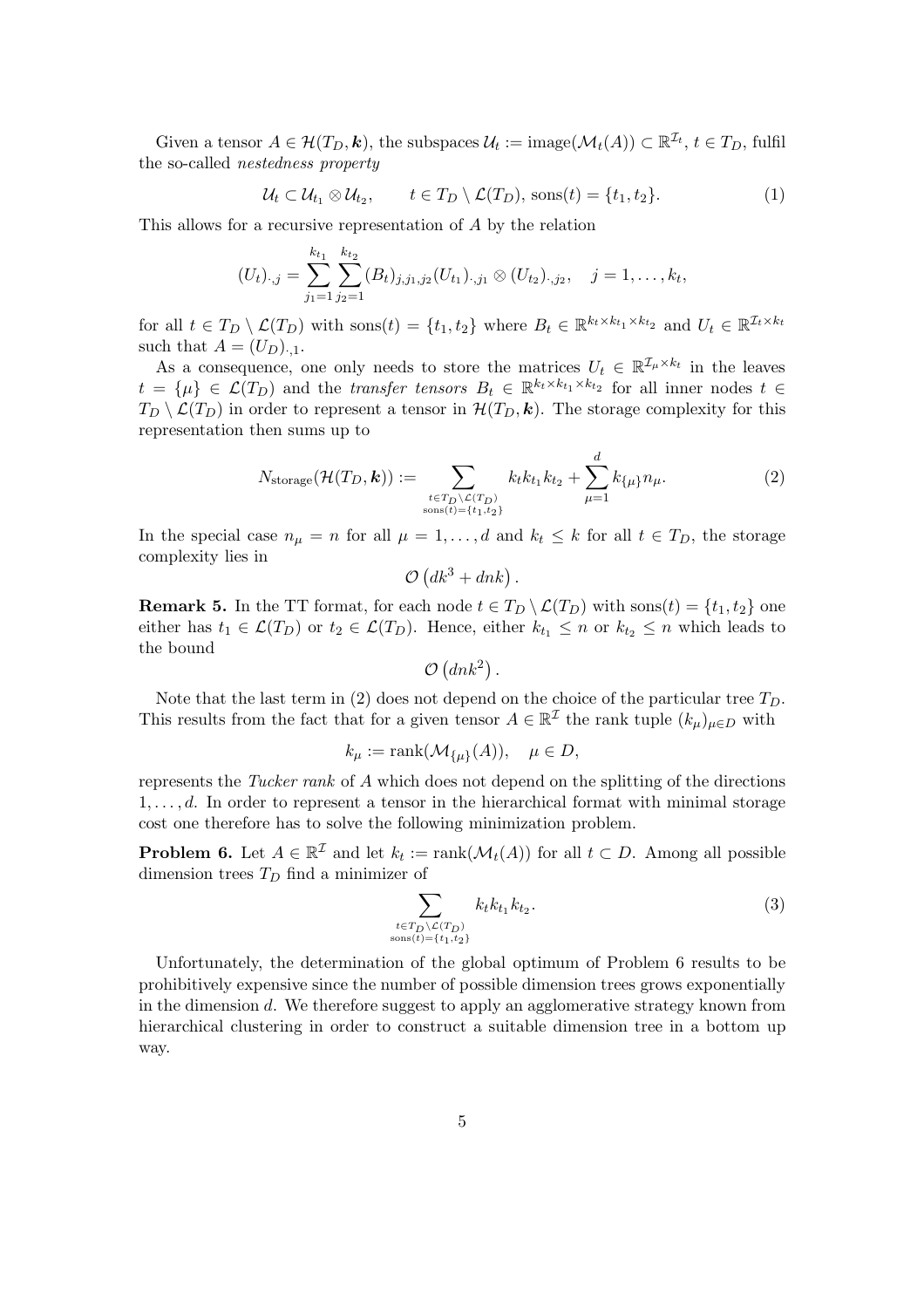Given a tensor  $A \in \mathcal{H}(T_D, \mathbf{k})$ , the subspaces  $\mathcal{U}_t := \text{image}(\mathcal{M}_t(A)) \subset \mathbb{R}^{\mathcal{I}_t}, t \in T_D$ , fulfil the so-called nestedness property

$$
\mathcal{U}_t \subset \mathcal{U}_{t_1} \otimes \mathcal{U}_{t_2}, \qquad t \in T_D \setminus \mathcal{L}(T_D), \text{ sons}(t) = \{t_1, t_2\}. \tag{1}
$$

This allows for a recursive representation of A by the relation

$$
(U_t)_{\cdot,j} = \sum_{j_1=1}^{k_{t_1}} \sum_{j_2=1}^{k_{t_2}} (B_t)_{j,j_1,j_2} (U_{t_1})_{\cdot,j_1} \otimes (U_{t_2})_{\cdot,j_2}, \quad j=1,\ldots,k_t,
$$

for all  $t \in T_D \setminus \mathcal{L}(T_D)$  with  $\text{sons}(t) = \{t_1, t_2\}$  where  $B_t \in \mathbb{R}^{k_t \times k_{t_1} \times k_{t_2}}$  and  $U_t \in \mathbb{R}^{L_t \times k_t}$ such that  $A = (U_D)_{\cdot,1}$ .

As a consequence, one only needs to store the matrices  $U_t \in \mathbb{R}^{\mathcal{I}_{\mu} \times k_t}$  in the leaves  $t = {\mu} \in \mathcal{L}(T_D)$  and the *transfer tensors*  $B_t \in \mathbb{R}^{k_t \times k_{t_1} \times k_{t_2}}$  for all inner nodes  $t \in$  $T_D \setminus \mathcal{L}(T_D)$  in order to represent a tensor in  $\mathcal{H}(T_D, \mathbf{k})$ . The storage complexity for this representation then sums up to

$$
N_{\text{storage}}(\mathcal{H}(T_D, \mathbf{k})) := \sum_{\substack{t \in T_D \setminus \mathcal{L}(T_D) \\ \text{sons}(t) = \{t_1, t_2\}}} k_t k_{t_1} k_{t_2} + \sum_{\mu=1}^d k_{\{\mu\}} n_{\mu}.
$$
 (2)

In the special case  $n_{\mu} = n$  for all  $\mu = 1, ..., d$  and  $k_t \leq k$  for all  $t \in T_D$ , the storage complexity lies in

$$
\mathcal{O}\left(dk^3 + dnk\right).
$$

**Remark 5.** In the TT format, for each node  $t \in T_D \setminus \mathcal{L}(T_D)$  with sons $(t) = \{t_1, t_2\}$  one either has  $t_1 \in \mathcal{L}(T_D)$  or  $t_2 \in \mathcal{L}(T_D)$ . Hence, either  $k_{t_1} \leq n$  or  $k_{t_2} \leq n$  which leads to the bound

 $\mathcal{O}\left(dnk^2\right)$  .

Note that the last term in (2) does not depend on the choice of the particular tree  $T_D$ . This results from the fact that for a given tensor  $A \in \mathbb{R}^{\mathcal{I}}$  the rank tuple  $(k_{\mu})_{\mu \in D}$  with

$$
k_{\mu} := \text{rank}(\mathcal{M}_{\{\mu\}}(A)), \quad \mu \in D,
$$

represents the Tucker rank of A which does not depend on the splitting of the directions  $1, \ldots, d$ . In order to represent a tensor in the hierarchical format with minimal storage cost one therefore has to solve the following minimization problem.

**Problem 6.** Let  $A \in \mathbb{R}^{\mathcal{I}}$  and let  $k_t := \text{rank}(\mathcal{M}_t(A))$  for all  $t \subset D$ . Among all possible dimension trees  $T_D$  find a minimizer of

$$
\sum_{\substack{t \in T_D \setminus \mathcal{L}(T_D) \\ \text{sons}(t) = \{t_1, t_2\}}} k_t k_{t_1} k_{t_2}.\tag{3}
$$

Unfortunately, the determination of the global optimum of Problem 6 results to be prohibitively expensive since the number of possible dimension trees grows exponentially in the dimension d. We therefore suggest to apply an agglomerative strategy known from hierarchical clustering in order to construct a suitable dimension tree in a bottom up way.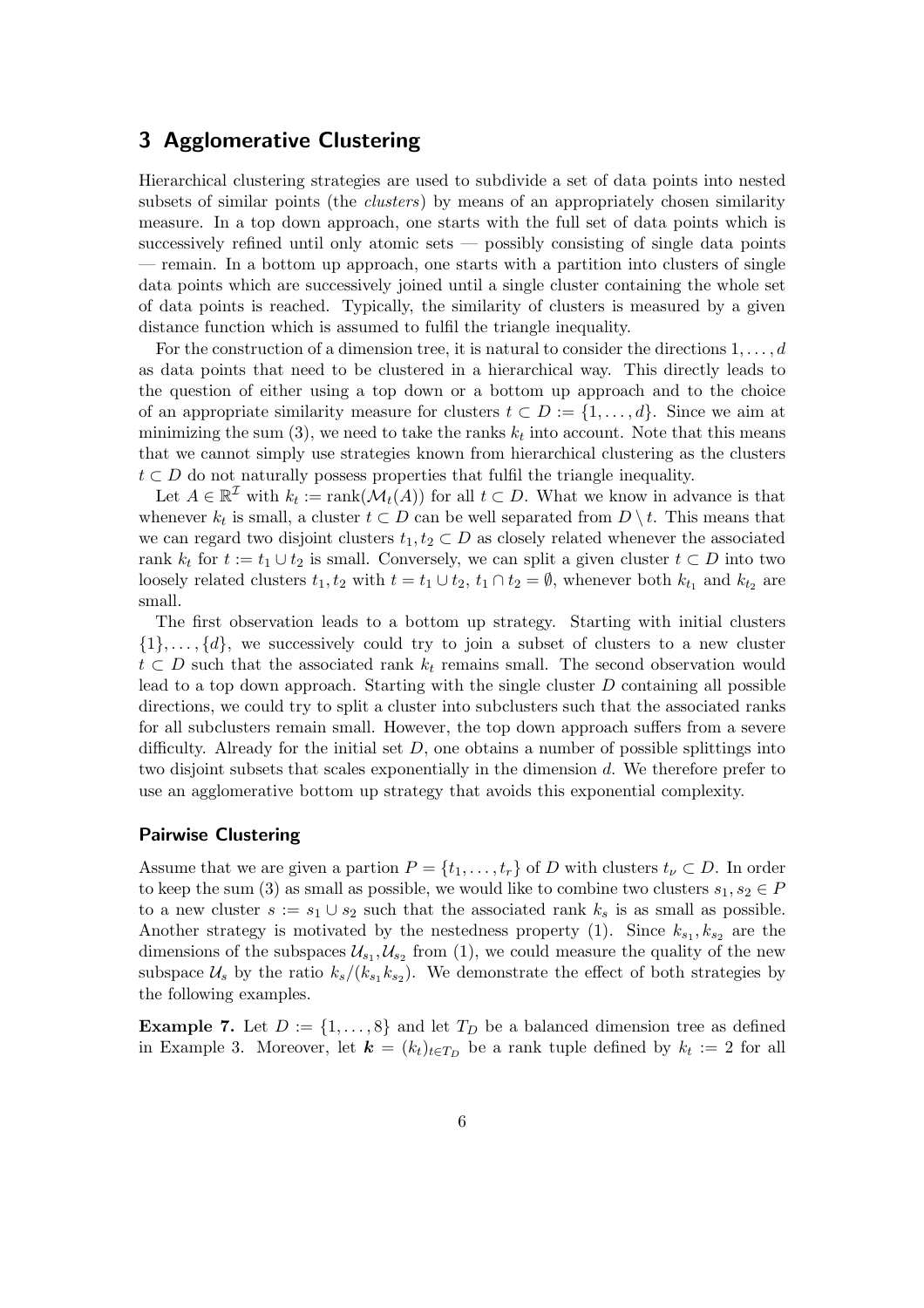## 3 Agglomerative Clustering

Hierarchical clustering strategies are used to subdivide a set of data points into nested subsets of similar points (the *clusters*) by means of an appropriately chosen similarity measure. In a top down approach, one starts with the full set of data points which is successively refined until only atomic sets — possibly consisting of single data points — remain. In a bottom up approach, one starts with a partition into clusters of single data points which are successively joined until a single cluster containing the whole set of data points is reached. Typically, the similarity of clusters is measured by a given distance function which is assumed to fulfil the triangle inequality.

For the construction of a dimension tree, it is natural to consider the directions  $1, \ldots, d$ as data points that need to be clustered in a hierarchical way. This directly leads to the question of either using a top down or a bottom up approach and to the choice of an appropriate similarity measure for clusters  $t \subset D := \{1, \ldots, d\}$ . Since we aim at minimizing the sum  $(3)$ , we need to take the ranks  $k_t$  into account. Note that this means that we cannot simply use strategies known from hierarchical clustering as the clusters  $t \subset D$  do not naturally possess properties that fulfil the triangle inequality.

Let  $A \in \mathbb{R}^{\mathcal{I}}$  with  $k_t := \text{rank}(\mathcal{M}_t(A))$  for all  $t \subset D$ . What we know in advance is that whenever  $k_t$  is small, a cluster  $t \subset D$  can be well separated from  $D \setminus t$ . This means that we can regard two disjoint clusters  $t_1, t_2 \subset D$  as closely related whenever the associated rank  $k_t$  for  $t := t_1 \cup t_2$  is small. Conversely, we can split a given cluster  $t \subset D$  into two loosely related clusters  $t_1, t_2$  with  $t = t_1 \cup t_2$ ,  $t_1 \cap t_2 = \emptyset$ , whenever both  $k_{t_1}$  and  $k_{t_2}$  are small.

The first observation leads to a bottom up strategy. Starting with initial clusters  $\{1\}, \ldots, \{d\}$ , we successively could try to join a subset of clusters to a new cluster  $t \subset D$  such that the associated rank  $k_t$  remains small. The second observation would lead to a top down approach. Starting with the single cluster  $D$  containing all possible directions, we could try to split a cluster into subclusters such that the associated ranks for all subclusters remain small. However, the top down approach suffers from a severe difficulty. Already for the initial set  $D$ , one obtains a number of possible splittings into two disjoint subsets that scales exponentially in the dimension d. We therefore prefer to use an agglomerative bottom up strategy that avoids this exponential complexity.

#### Pairwise Clustering

Assume that we are given a partion  $P = \{t_1, \ldots, t_r\}$  of D with clusters  $t_\nu \subset D$ . In order to keep the sum (3) as small as possible, we would like to combine two clusters  $s_1, s_2 \in P$ to a new cluster  $s := s_1 \cup s_2$  such that the associated rank  $k_s$  is as small as possible. Another strategy is motivated by the nestedness property (1). Since  $k_{s_1}, k_{s_2}$  are the dimensions of the subspaces  $\mathcal{U}_{s_1}, \mathcal{U}_{s_2}$  from (1), we could measure the quality of the new subspace  $\mathcal{U}_s$  by the ratio  $k_s/(k_{s_1} k_{s_2})$ . We demonstrate the effect of both strategies by the following examples.

**Example 7.** Let  $D := \{1, \ldots, 8\}$  and let  $T_D$  be a balanced dimension tree as defined in Example 3. Moreover, let  $\mathbf{k} = (k_t)_{t \in T_D}$  be a rank tuple defined by  $k_t := 2$  for all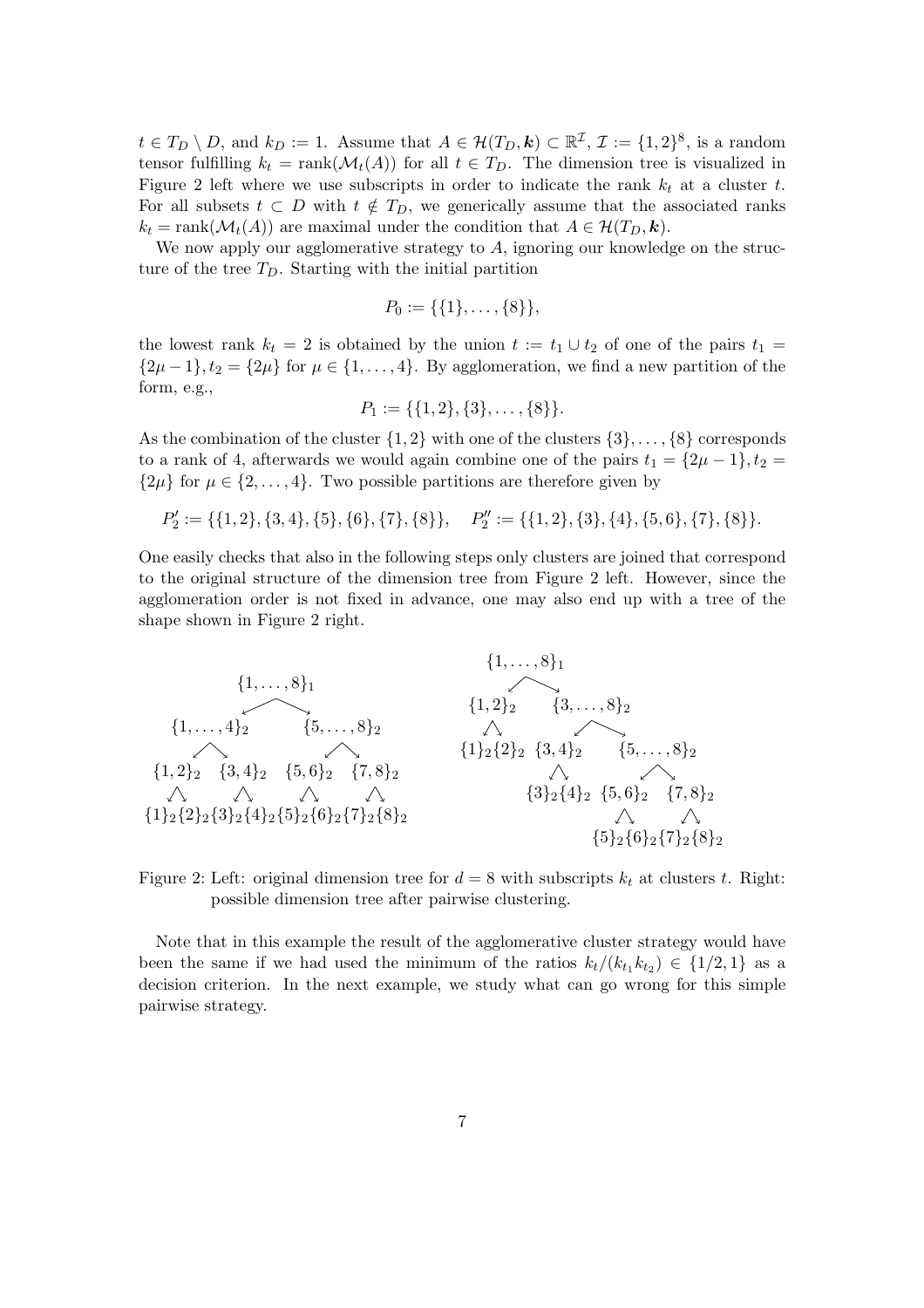$t \in T_D \setminus D$ , and  $k_D := 1$ . Assume that  $A \in \mathcal{H}(T_D, \mathbf{k}) \subset \mathbb{R}^{\mathcal{I}}, \mathcal{I} := \{1, 2\}^8$ , is a random tensor fulfilling  $k_t = \text{rank}(\mathcal{M}_t(A))$  for all  $t \in T_D$ . The dimension tree is visualized in Figure 2 left where we use subscripts in order to indicate the rank  $k_t$  at a cluster t. For all subsets  $t \subset D$  with  $t \notin T_D$ , we generically assume that the associated ranks  $k_t = \text{rank}(\mathcal{M}_t(A))$  are maximal under the condition that  $A \in \mathcal{H}(T_D, \mathbf{k})$ .

We now apply our agglomerative strategy to A, ignoring our knowledge on the structure of the tree  $T_D$ . Starting with the initial partition

$$
P_0 := \{\{1\}, \ldots, \{8\}\},\
$$

the lowest rank  $k_t = 2$  is obtained by the union  $t := t_1 \cup t_2$  of one of the pairs  $t_1 =$  $\{2\mu-1\}, t_2 = \{2\mu\}$  for  $\mu \in \{1, \ldots, 4\}$ . By agglomeration, we find a new partition of the form, e.g.,

$$
P_1 := \{\{1,2\},\{3\},\ldots,\{8\}\}.
$$

As the combination of the cluster  $\{1,2\}$  with one of the clusters  $\{3\}, \ldots, \{8\}$  corresponds to a rank of 4, afterwards we would again combine one of the pairs  $t_1 = \{2\mu - 1\}, t_2 =$  $\{2\mu\}$  for  $\mu \in \{2, \ldots, 4\}$ . Two possible partitions are therefore given by

$$
P'_2:=\{\{1,2\},\{3,4\},\{5\},\{6\},\{7\},\{8\}\},\quad P''_2:=\{\{1,2\},\{3\},\{4\},\{5,6\},\{7\},\{8\}\}.
$$

One easily checks that also in the following steps only clusters are joined that correspond to the original structure of the dimension tree from Figure 2 left. However, since the agglomeration order is not fixed in advance, one may also end up with a tree of the shape shown in Figure 2 right.



Figure 2: Left: original dimension tree for  $d = 8$  with subscripts  $k_t$  at clusters t. Right: possible dimension tree after pairwise clustering.

Note that in this example the result of the agglomerative cluster strategy would have been the same if we had used the minimum of the ratios  $k_t/(k_{t_1}k_{t_2}) \in \{1/2, 1\}$  as a decision criterion. In the next example, we study what can go wrong for this simple pairwise strategy.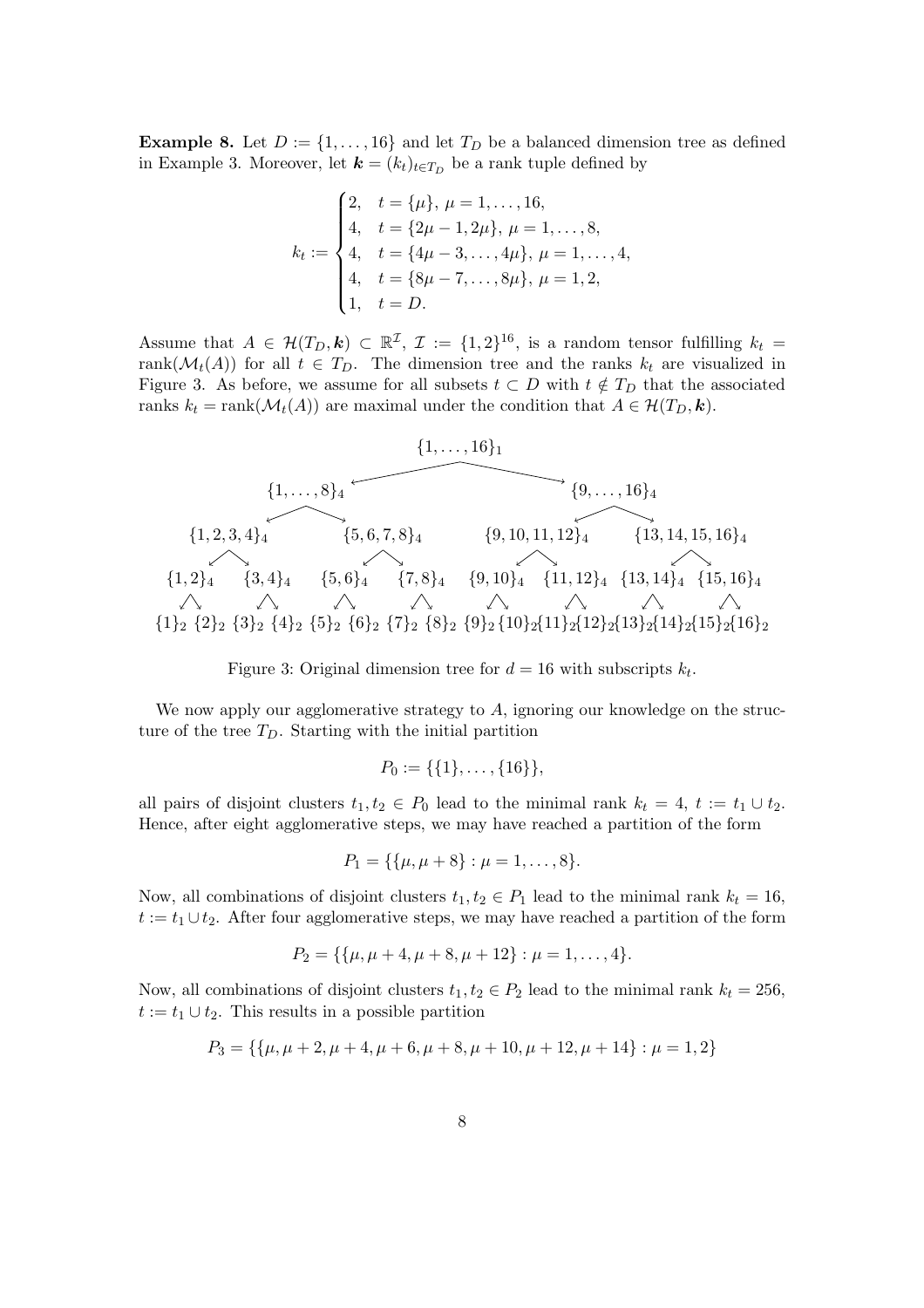**Example 8.** Let  $D := \{1, \ldots, 16\}$  and let  $T_D$  be a balanced dimension tree as defined in Example 3. Moreover, let  $\mathbf{k} = (k_t)_{t \in T_D}$  be a rank tuple defined by

$$
k_t := \begin{cases} 2, & t = \{\mu\}, \ \mu = 1, \dots, 16, \\ 4, & t = \{2\mu - 1, 2\mu\}, \ \mu = 1, \dots, 8, \\ 4, & t = \{4\mu - 3, \dots, 4\mu\}, \ \mu = 1, \dots, 4, \\ 4, & t = \{8\mu - 7, \dots, 8\mu\}, \ \mu = 1, 2, \\ 1, & t = D. \end{cases}
$$

Assume that  $A \in \mathcal{H}(T_D, \mathbf{k}) \subset \mathbb{R}^{\mathcal{I}}, \mathcal{I} := \{1,2\}^{16}$ , is a random tensor fulfilling  $k_t =$ rank $(\mathcal{M}_t(A))$  for all  $t \in T_D$ . The dimension tree and the ranks  $k_t$  are visualized in Figure 3. As before, we assume for all subsets  $t \subset D$  with  $t \notin T_D$  that the associated ranks  $k_t = \text{rank}(\mathcal{M}_t(A))$  are maximal under the condition that  $A \in \mathcal{H}(T_D, \mathbf{k})$ .



Figure 3: Original dimension tree for  $d = 16$  with subscripts  $k_t$ .

We now apply our agglomerative strategy to A, ignoring our knowledge on the structure of the tree  $T_D$ . Starting with the initial partition

$$
P_0 := \{\{1\}, \ldots, \{16\}\},\
$$

all pairs of disjoint clusters  $t_1, t_2 \in P_0$  lead to the minimal rank  $k_t = 4$ ,  $t := t_1 \cup t_2$ . Hence, after eight agglomerative steps, we may have reached a partition of the form

$$
P_1 = \{\{\mu, \mu + 8\} : \mu = 1, \ldots, 8\}.
$$

Now, all combinations of disjoint clusters  $t_1, t_2 \in P_1$  lead to the minimal rank  $k_t = 16$ ,  $t := t_1 \cup t_2$ . After four agglomerative steps, we may have reached a partition of the form

$$
P_2 = \{ \{\mu, \mu + 4, \mu + 8, \mu + 12\} : \mu = 1, \dots, 4 \}.
$$

Now, all combinations of disjoint clusters  $t_1, t_2 \in P_2$  lead to the minimal rank  $k_t = 256$ ,  $t := t_1 \cup t_2$ . This results in a possible partition

$$
P_3 = \{ \{\mu, \mu + 2, \mu + 4, \mu + 6, \mu + 8, \mu + 10, \mu + 12, \mu + 14\} : \mu = 1, 2 \}
$$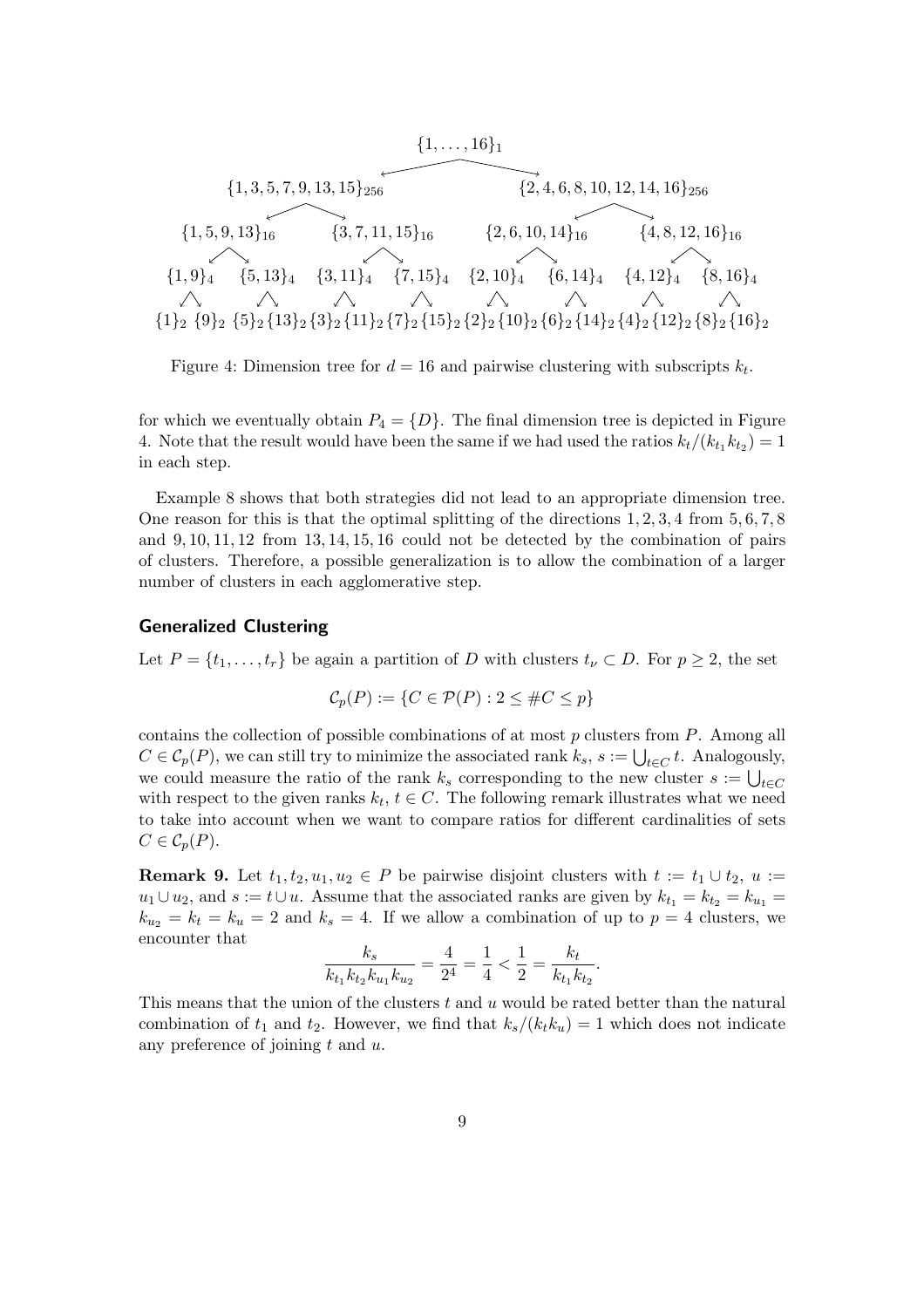

Figure 4: Dimension tree for  $d = 16$  and pairwise clustering with subscripts  $k_t$ .

for which we eventually obtain  $P_4 = \{D\}$ . The final dimension tree is depicted in Figure 4. Note that the result would have been the same if we had used the ratios  $k_t/(k_{t_1} k_{t_2}) = 1$ in each step.

Example 8 shows that both strategies did not lead to an appropriate dimension tree. One reason for this is that the optimal splitting of the directions  $1, 2, 3, 4$  from  $5, 6, 7, 8$ and 9, 10, 11, 12 from 13, 14, 15, 16 could not be detected by the combination of pairs of clusters. Therefore, a possible generalization is to allow the combination of a larger number of clusters in each agglomerative step.

#### Generalized Clustering

Let  $P = \{t_1, \ldots, t_r\}$  be again a partition of D with clusters  $t_\nu \subset D$ . For  $p \geq 2$ , the set

$$
\mathcal{C}_p(P) := \{ C \in \mathcal{P}(P) : 2 \leq \#C \leq p \}
$$

contains the collection of possible combinations of at most  $p$  clusters from  $P$ . Among all  $C \in \mathcal{C}_p(P)$ , we can still try to minimize the associated rank  $k_s$ ,  $s := \bigcup_{t \in C} t$ . Analogously, we could measure the ratio of the rank  $k_s$  corresponding to the new cluster  $s := \bigcup_{t \in C}$ with respect to the given ranks  $k_t$ ,  $t \in C$ . The following remark illustrates what we need to take into account when we want to compare ratios for different cardinalities of sets  $C \in \mathcal{C}_p(P).$ 

**Remark 9.** Let  $t_1, t_2, u_1, u_2 \in P$  be pairwise disjoint clusters with  $t := t_1 \cup t_2, u :=$  $u_1 \cup u_2$ , and  $s := t \cup u$ . Assume that the associated ranks are given by  $k_{t_1} = k_{t_2} = k_{u_1}$  $k_{u_2} = k_t = k_u = 2$  and  $k_s = 4$ . If we allow a combination of up to  $p = 4$  clusters, we encounter that

$$
\frac{k_s}{k_{t_1}k_{t_2}k_{u_1}k_{u_2}} = \frac{4}{2^4} = \frac{1}{4} < \frac{1}{2} = \frac{k_t}{k_{t_1}k_{t_2}}.
$$

This means that the union of the clusters  $t$  and  $u$  would be rated better than the natural combination of  $t_1$  and  $t_2$ . However, we find that  $k_s/(k_t k_u) = 1$  which does not indicate any preference of joining  $t$  and  $u$ .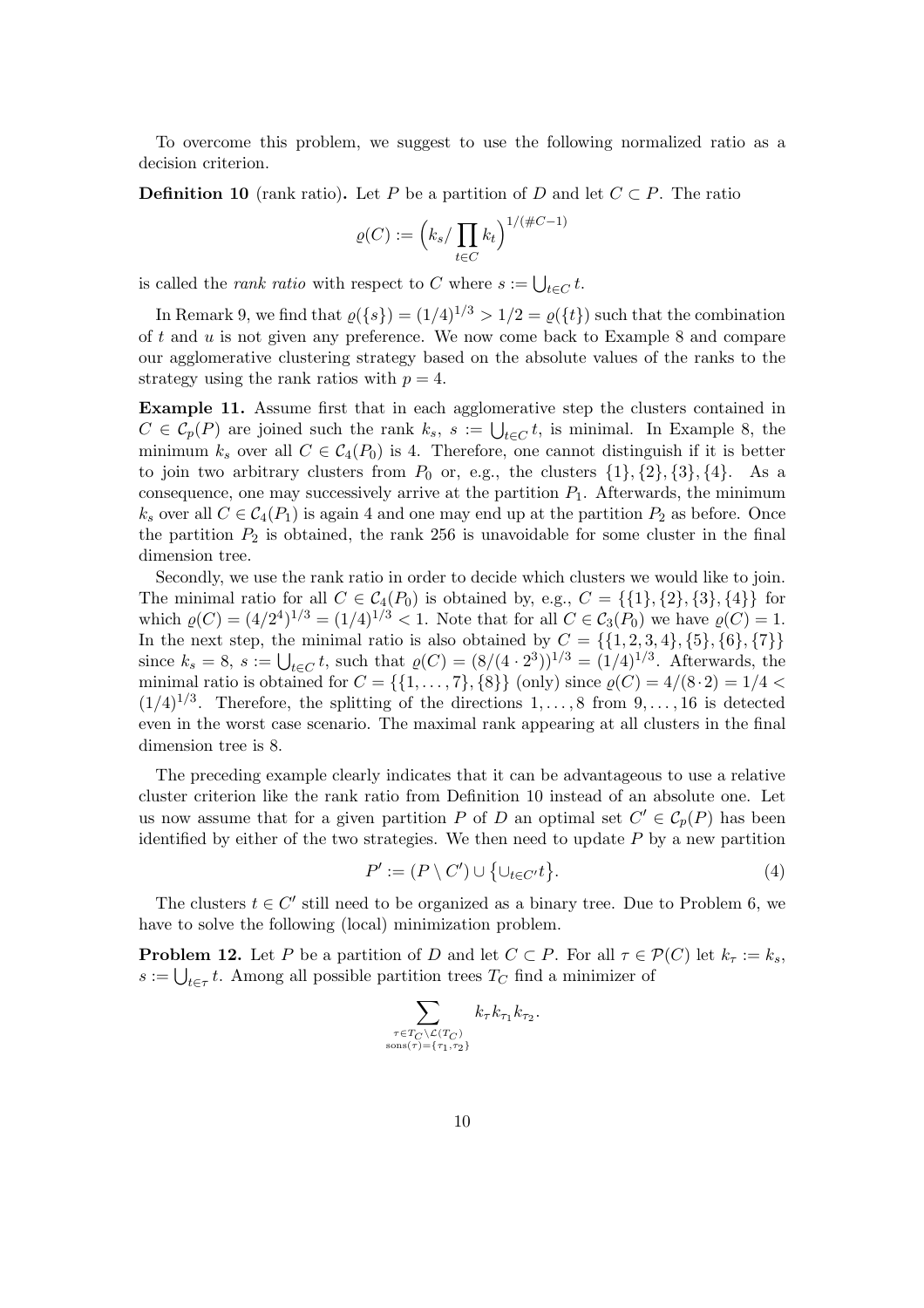To overcome this problem, we suggest to use the following normalized ratio as a decision criterion.

**Definition 10** (rank ratio). Let P be a partition of D and let  $C \subset P$ . The ratio

$$
\varrho(C) := \left(k_s / \prod_{t \in C} k_t\right)^{1/(\#C-1)}
$$

is called the *rank ratio* with respect to C where  $s := \bigcup_{t \in C} t$ .

In Remark 9, we find that  $\rho({s}) = (1/4)^{1/3} > 1/2 = \rho({t})$  such that the combination of  $t$  and  $u$  is not given any preference. We now come back to Example 8 and compare our agglomerative clustering strategy based on the absolute values of the ranks to the strategy using the rank ratios with  $p = 4$ .

Example 11. Assume first that in each agglomerative step the clusters contained in  $C \in \mathcal{C}_p(P)$  are joined such the rank  $k_s$ ,  $s := \bigcup_{t \in C} t$ , is minimal. In Example 8, the minimum  $k_s$  over all  $C \in C_4(P_0)$  is 4. Therefore, one cannot distinguish if it is better to join two arbitrary clusters from  $P_0$  or, e.g., the clusters  $\{1\}$ ,  $\{2\}$ ,  $\{3\}$ ,  $\{4\}$ . As a consequence, one may successively arrive at the partition  $P_1$ . Afterwards, the minimum  $k_s$  over all  $C \in C_4(P_1)$  is again 4 and one may end up at the partition  $P_2$  as before. Once the partition  $P_2$  is obtained, the rank 256 is unavoidable for some cluster in the final dimension tree.

Secondly, we use the rank ratio in order to decide which clusters we would like to join. The minimal ratio for all  $C \in C_4(P_0)$  is obtained by, e.g.,  $C = \{\{1\}, \{2\}, \{3\}, \{4\}\}\$ for which  $\varrho(C) = (4/2^4)^{1/3} = (1/4)^{1/3} < 1$ . Note that for all  $C \in C_3(P_0)$  we have  $\varrho(C) = 1$ . In the next step, the minimal ratio is also obtained by  $C = \{\{1, 2, 3, 4\}, \{5\}, \{6\}, \{7\}\}\$ since  $k_s = 8$ ,  $s := \bigcup_{t \in C} t$ , such that  $\varrho(C) = (8/(4 \cdot 2^3))^{1/3} = (1/4)^{1/3}$ . Afterwards, the minimal ratio is obtained for  $C = \{\{1, ..., 7\}, \{8\}\}\$  (only) since  $\varrho(C) = 4/(8 \cdot 2) = 1/4$  $(1/4)^{1/3}$ . Therefore, the splitting of the directions  $1, \ldots, 8$  from  $9, \ldots, 16$  is detected even in the worst case scenario. The maximal rank appearing at all clusters in the final dimension tree is 8.

The preceding example clearly indicates that it can be advantageous to use a relative cluster criterion like the rank ratio from Definition 10 instead of an absolute one. Let us now assume that for a given partition P of D an optimal set  $C' \in C_p(P)$  has been identified by either of the two strategies. We then need to update  $P$  by a new partition

$$
P' := (P \setminus C') \cup \{ \cup_{t \in C'} t \}.
$$
\n
$$
(4)
$$

The clusters  $t \in C'$  still need to be organized as a binary tree. Due to Problem 6, we have to solve the following (local) minimization problem.

**Problem 12.** Let P be a partition of D and let  $C \subset P$ . For all  $\tau \in \mathcal{P}(C)$  let  $k_{\tau} := k_s$ ,  $s := \bigcup_{t \in \tau} t$ . Among all possible partition trees  $T_C$  find a minimizer of

$$
\sum_{\substack{\tau \in T_C \backslash \mathcal{L}(T_C) \\ \text{sons}(\tau) = \{\tau_1, \tau_2\}}} k_\tau k_{\tau_1} k_{\tau_2}.
$$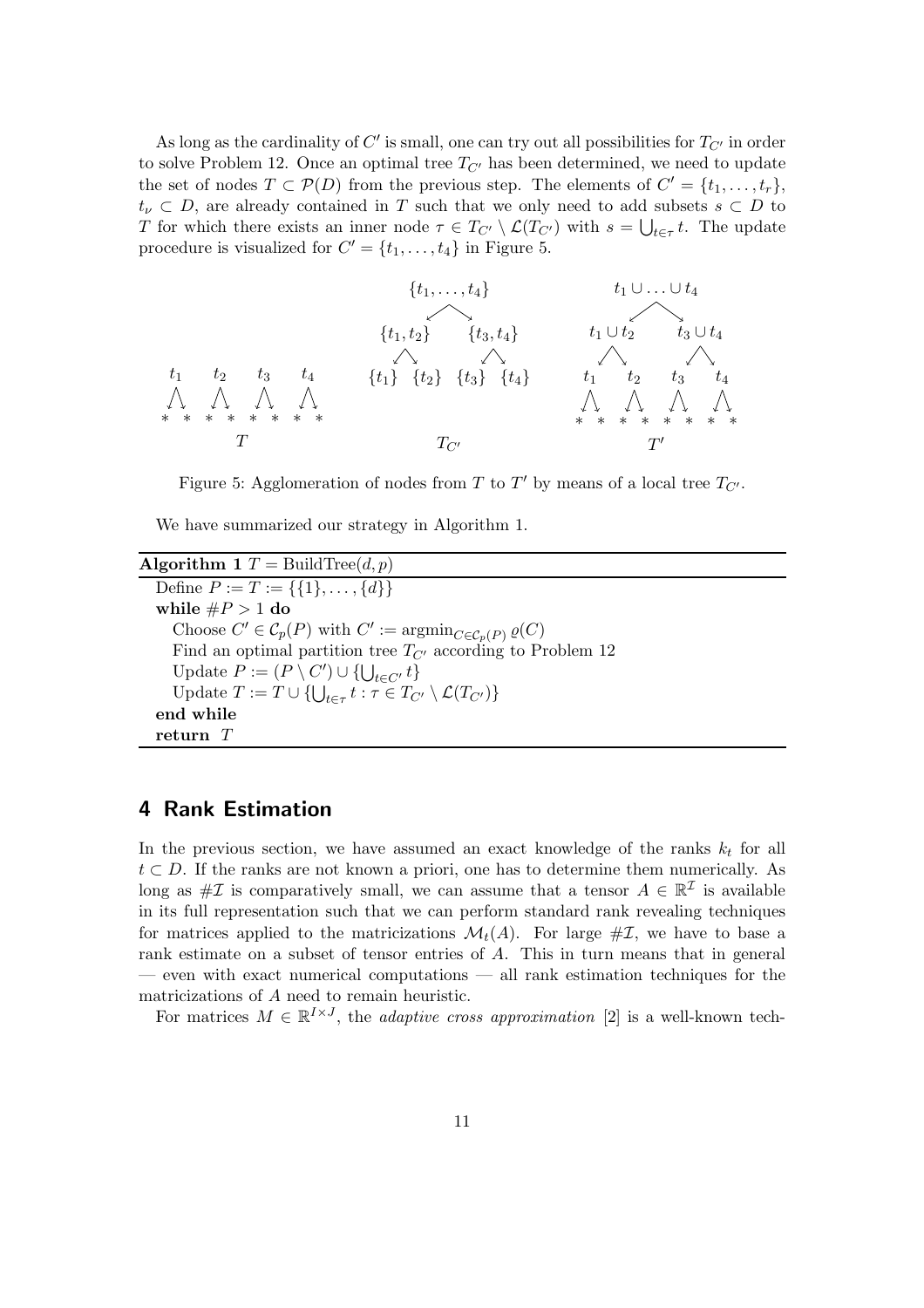As long as the cardinality of  $C'$  is small, one can try out all possibilities for  $T_{C'}$  in order to solve Problem 12. Once an optimal tree  $T_{C'}$  has been determined, we need to update the set of nodes  $T \subset \mathcal{P}(D)$  from the previous step. The elements of  $C' = \{t_1, \ldots, t_r\}$ ,  $t_{\nu} \subset D$ , are already contained in T such that we only need to add subsets  $s \subset D$  to T for which there exists an inner node  $\tau \in T_{C'} \setminus \mathcal{L}(T_{C'})$  with  $s = \bigcup_{t \in \tau} t$ . The update procedure is visualized for  $C' = \{t_1, \ldots, t_4\}$  in Figure 5.



Figure 5: Agglomeration of nodes from T to T' by means of a local tree  $T_{C'}$ .

We have summarized our strategy in Algorithm 1.

Algorithm 1  $T = \text{BuildTree}(d, p)$ Define  $P := T := \{\{1\}, \ldots, \{d\}\}\$ while  $\#P > 1$  do Choose  $C' \in \mathcal{C}_p(P)$  with  $C' := \operatorname{argmin}_{C \in \mathcal{C}_p(P)} \varrho(C)$ Find an optimal partition tree  $T_{C'}$  according to Problem 12 Update  $P := (P \setminus C') \cup \{\bigcup_{t \in C'} t\}$ Update  $T := T \cup \{\bigcup_{t \in \tau} t : \tau \in T_{C'} \setminus \mathcal{L}(T_{C'})\}$ end while return T

## 4 Rank Estimation

In the previous section, we have assumed an exact knowledge of the ranks  $k_t$  for all  $t \subset D$ . If the ranks are not known a priori, one has to determine them numerically. As long as  $\#\mathcal{I}$  is comparatively small, we can assume that a tensor  $A \in \mathbb{R}^{\mathcal{I}}$  is available in its full representation such that we can perform standard rank revealing techniques for matrices applied to the matricizations  $\mathcal{M}_t(A)$ . For large  $\#\mathcal{I}$ , we have to base a rank estimate on a subset of tensor entries of A. This in turn means that in general — even with exact numerical computations — all rank estimation techniques for the matricizations of A need to remain heuristic.

For matrices  $M \in \mathbb{R}^{I \times J}$ , the *adaptive cross approximation* [2] is a well-known tech-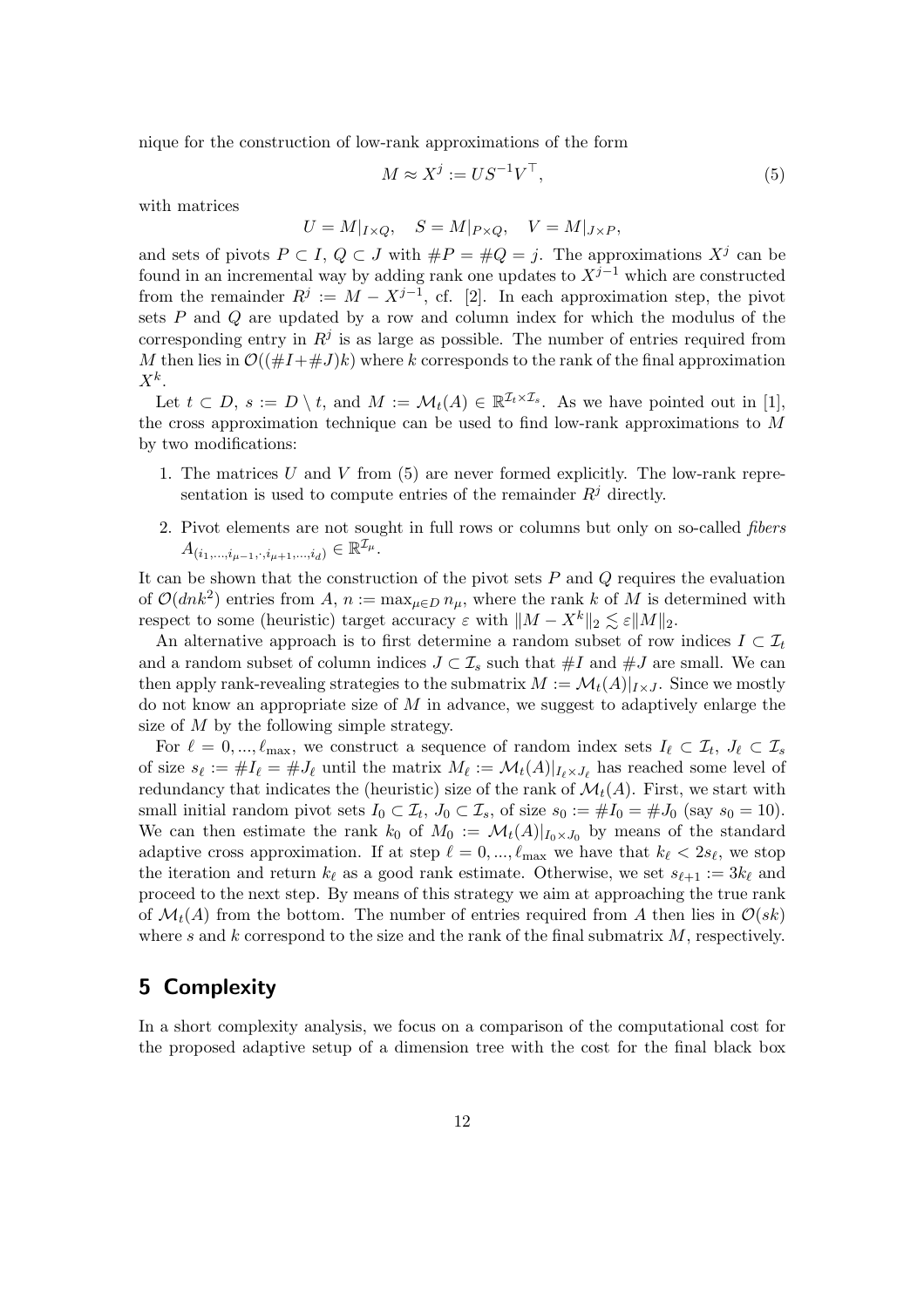nique for the construction of low-rank approximations of the form

$$
M \approx X^j := US^{-1}V^\top,\tag{5}
$$

with matrices

$$
U = M|_{I \times Q}, \quad S = M|_{P \times Q}, \quad V = M|_{J \times P},
$$

and sets of pivots  $P \subset I$ ,  $Q \subset J$  with  $\#P = \#Q = j$ . The approximations  $X^j$  can be found in an incremental way by adding rank one updates to  $X^{j-1}$  which are constructed from the remainder  $R^j := M - X^{j-1}$ , cf. [2]. In each approximation step, the pivot sets  $P$  and  $Q$  are updated by a row and column index for which the modulus of the corresponding entry in  $R^j$  is as large as possible. The number of entries required from M then lies in  $\mathcal{O}((\#I+\#J)k)$  where k corresponds to the rank of the final approximation  $X^k$ .

Let  $t \subset D$ ,  $s := D \setminus t$ , and  $M := \mathcal{M}_t(A) \in \mathbb{R}^{\mathcal{I}_t \times \mathcal{I}_s}$ . As we have pointed out in [1], the cross approximation technique can be used to find low-rank approximations to  $M$ by two modifications:

- 1. The matrices U and V from  $(5)$  are never formed explicitly. The low-rank representation is used to compute entries of the remainder  $R<sup>j</sup>$  directly.
- 2. Pivot elements are not sought in full rows or columns but only on so-called fibers  $A_{(i_1,...,i_{\mu-1},\cdot,i_{\mu+1},...,i_d)} \in \mathbb{R}^{\mathcal{I}_{\mu}}.$

It can be shown that the construction of the pivot sets  $P$  and  $Q$  requires the evaluation of  $\mathcal{O}(dnk^2)$  entries from  $A, n := \max_{\mu \in D} n_{\mu}$ , where the rank k of M is determined with respect to some (heuristic) target accuracy  $\varepsilon$  with  $||M - X^k||_2 \lesssim \varepsilon ||M||_2$ .

An alternative approach is to first determine a random subset of row indices  $I \subset \mathcal{I}_t$ and a random subset of column indices  $J \subset \mathcal{I}_s$  such that  $\#I$  and  $\#J$  are small. We can then apply rank-revealing strategies to the submatrix  $M := \mathcal{M}_t(A)|_{I \times J}$ . Since we mostly do not know an appropriate size of  $M$  in advance, we suggest to adaptively enlarge the size of  $M$  by the following simple strategy.

For  $\ell = 0, ..., \ell_{\text{max}}$ , we construct a sequence of random index sets  $I_{\ell} \subset \mathcal{I}_t$ ,  $J_{\ell} \subset \mathcal{I}_s$ of size  $s_{\ell} := \#I_{\ell} = \#J_{\ell}$  until the matrix  $M_{\ell} := \mathcal{M}_t(A)|_{I_{\ell} \times J_{\ell}}$  has reached some level of redundancy that indicates the (heuristic) size of the rank of  $\mathcal{M}_t(A)$ . First, we start with small initial random pivot sets  $I_0 \subset \mathcal{I}_t$ ,  $J_0 \subset \mathcal{I}_s$ , of size  $s_0 := \#I_0 = \#J_0$  (say  $s_0 = 10$ ). We can then estimate the rank  $k_0$  of  $M_0 := \mathcal{M}_t(A)|_{I_0 \times J_0}$  by means of the standard adaptive cross approximation. If at step  $\ell = 0, ..., \ell_{\text{max}}$  we have that  $k_{\ell} < 2s_{\ell}$ , we stop the iteration and return  $k_{\ell}$  as a good rank estimate. Otherwise, we set  $s_{\ell+1} := 3k_{\ell}$  and proceed to the next step. By means of this strategy we aim at approaching the true rank of  $\mathcal{M}_t(A)$  from the bottom. The number of entries required from A then lies in  $\mathcal{O}(sk)$ where s and k correspond to the size and the rank of the final submatrix  $M$ , respectively.

## 5 Complexity

In a short complexity analysis, we focus on a comparison of the computational cost for the proposed adaptive setup of a dimension tree with the cost for the final black box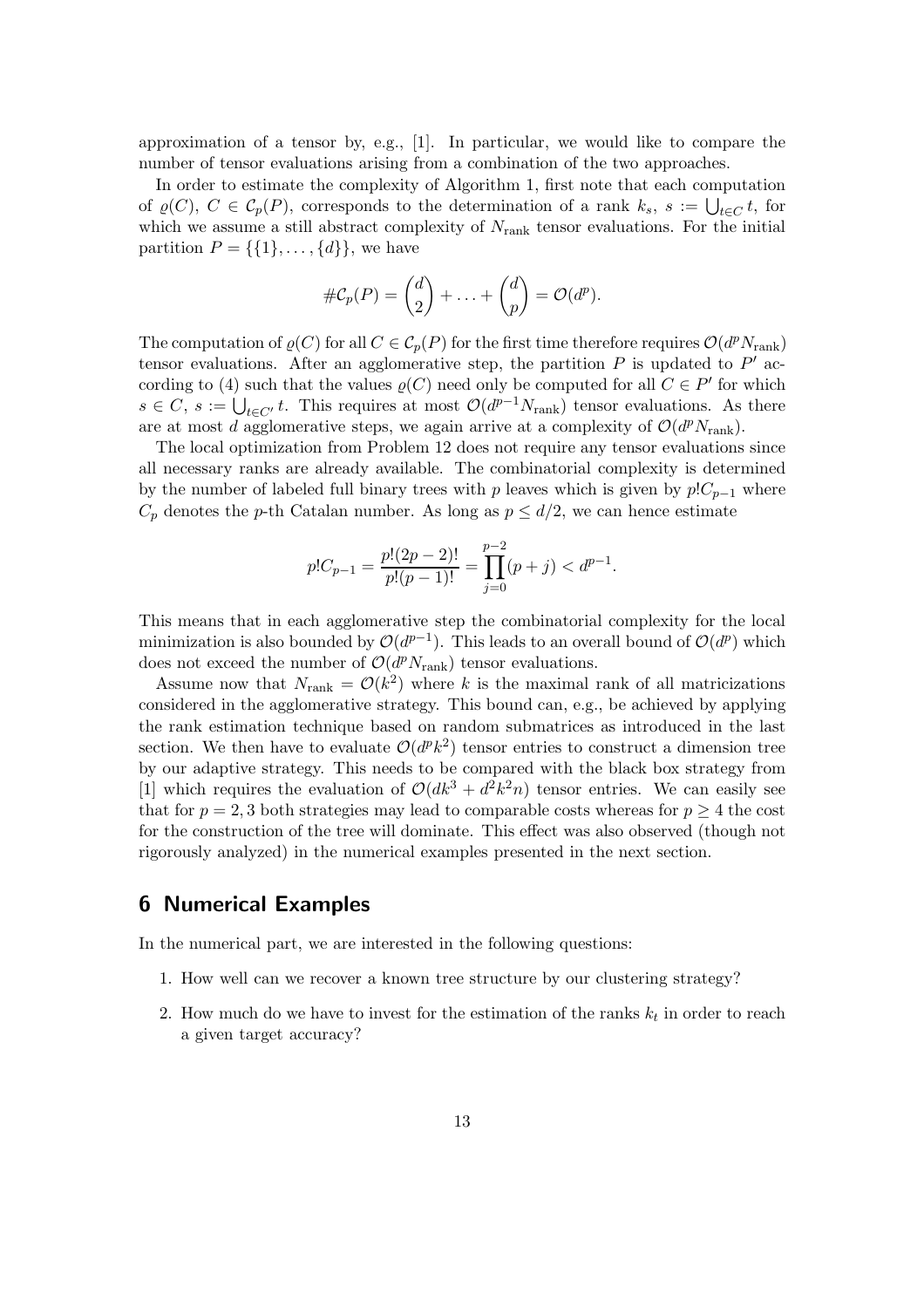approximation of a tensor by, e.g., [1]. In particular, we would like to compare the number of tensor evaluations arising from a combination of the two approaches.

In order to estimate the complexity of Algorithm 1, first note that each computation of  $\varrho(C)$ ,  $C \in \mathcal{C}_p(P)$ , corresponds to the determination of a rank  $k_s$ ,  $s := \bigcup_{t \in C} t$ , for which we assume a still abstract complexity of  $N_{\text{rank}}$  tensor evaluations. For the initial partition  $P = \{\{1\}, \ldots, \{d\}\}\,$ , we have

$$
\#\mathcal{C}_p(P) = \binom{d}{2} + \ldots + \binom{d}{p} = \mathcal{O}(d^p).
$$

The computation of  $\varrho(C)$  for all  $C \in \mathcal{C}_p(P)$  for the first time therefore requires  $\mathcal{O}(d^pN_{\text{rank}})$ tensor evaluations. After an agglomerative step, the partition  $P$  is updated to  $P'$  according to (4) such that the values  $\varrho(C)$  need only be computed for all  $C \in P'$  for which  $s \in C$ ,  $s := \bigcup_{t \in C'} t$ . This requires at most  $\mathcal{O}(d^{p-1}N_{\text{rank}})$  tensor evaluations. As there are at most d agglomerative steps, we again arrive at a complexity of  $\mathcal{O}(d^p N_{\text{rank}})$ .

The local optimization from Problem 12 does not require any tensor evaluations since all necessary ranks are already available. The combinatorial complexity is determined by the number of labeled full binary trees with p leaves which is given by  $p!C_{p-1}$  where  $C_p$  denotes the p-th Catalan number. As long as  $p \leq d/2$ , we can hence estimate

$$
p!C_{p-1} = \frac{p!(2p-2)!}{p!(p-1)!} = \prod_{j=0}^{p-2} (p+j) < d^{p-1}.
$$

This means that in each agglomerative step the combinatorial complexity for the local minimization is also bounded by  $\mathcal{O}(d^{p-1})$ . This leads to an overall bound of  $\mathcal{O}(d^p)$  which does not exceed the number of  $\mathcal{O}(d^p N_{\text{rank}})$  tensor evaluations.

Assume now that  $N_{\text{rank}} = \mathcal{O}(k^2)$  where k is the maximal rank of all matricizations considered in the agglomerative strategy. This bound can, e.g., be achieved by applying the rank estimation technique based on random submatrices as introduced in the last section. We then have to evaluate  $\mathcal{O}(d^p k^2)$  tensor entries to construct a dimension tree by our adaptive strategy. This needs to be compared with the black box strategy from [1] which requires the evaluation of  $\mathcal{O}(dk^3 + d^2k^2n)$  tensor entries. We can easily see that for  $p = 2, 3$  both strategies may lead to comparable costs whereas for  $p \geq 4$  the cost for the construction of the tree will dominate. This effect was also observed (though not rigorously analyzed) in the numerical examples presented in the next section.

## 6 Numerical Examples

In the numerical part, we are interested in the following questions:

- 1. How well can we recover a known tree structure by our clustering strategy?
- 2. How much do we have to invest for the estimation of the ranks  $k_t$  in order to reach a given target accuracy?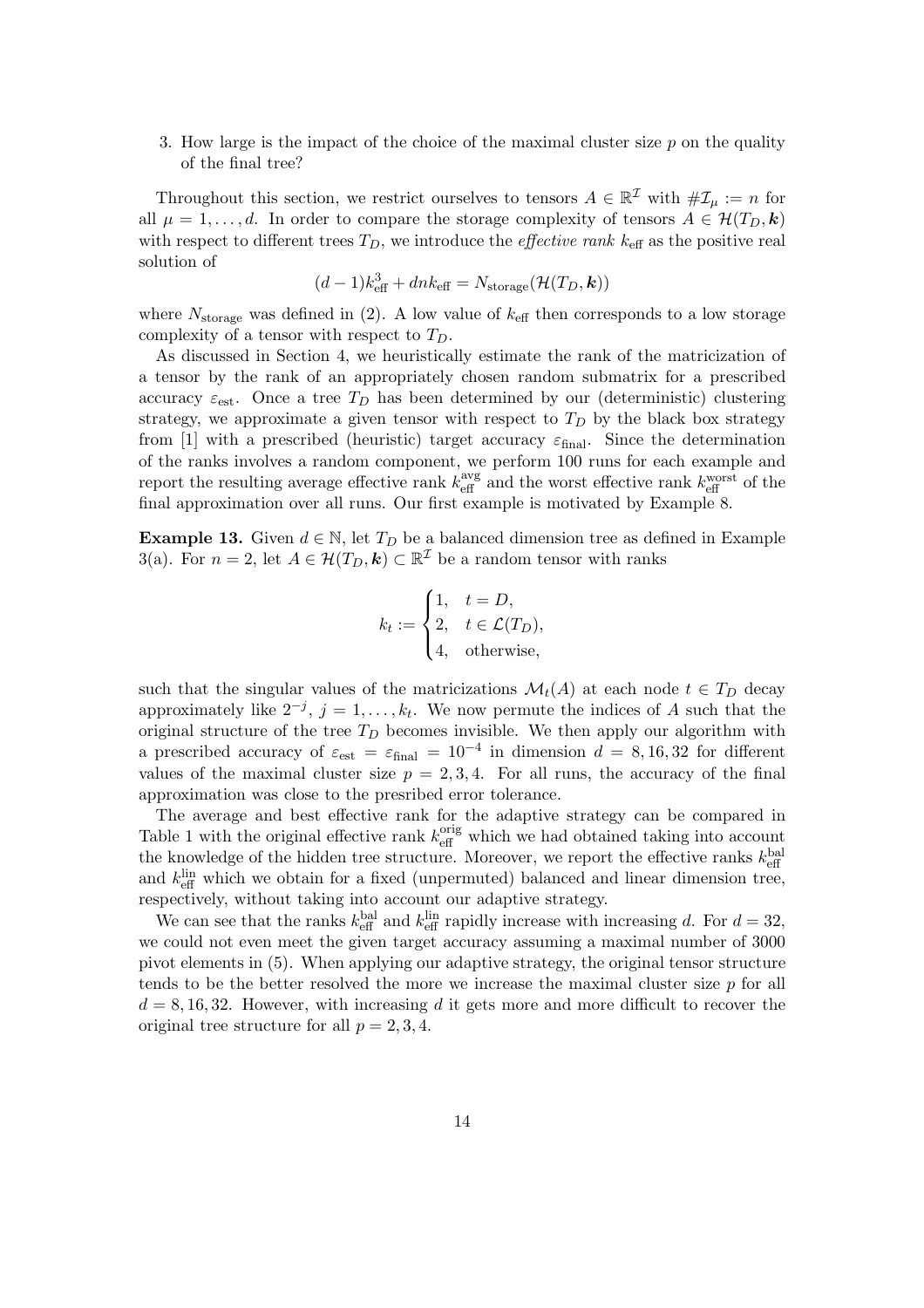3. How large is the impact of the choice of the maximal cluster size  $p$  on the quality of the final tree?

Throughout this section, we restrict ourselves to tensors  $A \in \mathbb{R}^{\mathcal{I}}$  with  $\#\mathcal{I}_{\mu} := n$  for all  $\mu = 1, \ldots, d$ . In order to compare the storage complexity of tensors  $A \in \mathcal{H}(T_D, \mathbf{k})$ with respect to different trees  $T_D$ , we introduce the *effective rank*  $k_{\text{eff}}$  as the positive real solution of

$$
(d-1)k_{\text{eff}}^3 + dnk_{\text{eff}} = N_{\text{storage}}(\mathcal{H}(T_D, \mathbf{k}))
$$

where  $N_{\text{storage}}$  was defined in (2). A low value of  $k_{\text{eff}}$  then corresponds to a low storage complexity of a tensor with respect to  $T_D$ .

As discussed in Section 4, we heuristically estimate the rank of the matricization of a tensor by the rank of an appropriately chosen random submatrix for a prescribed accuracy  $\varepsilon_{est}$ . Once a tree  $T_D$  has been determined by our (deterministic) clustering strategy, we approximate a given tensor with respect to  $T<sub>D</sub>$  by the black box strategy from [1] with a prescribed (heuristic) target accuracy  $\varepsilon_{\text{final}}$ . Since the determination of the ranks involves a random component, we perform 100 runs for each example and report the resulting average effective rank  $k_{\text{eff}}^{\text{avg}}$  and the worst effective rank  $k_{\text{eff}}^{\text{worst}}$  of the final approximation over all runs. Our first example is motivated by Example 8.

**Example 13.** Given  $d \in \mathbb{N}$ , let  $T_D$  be a balanced dimension tree as defined in Example 3(a). For  $n = 2$ , let  $A \in \mathcal{H}(T_D, \mathbf{k}) \subset \mathbb{R}^{\mathcal{I}}$  be a random tensor with ranks

$$
k_t := \begin{cases} 1, & t = D, \\ 2, & t \in \mathcal{L}(T_D), \\ 4, & \text{otherwise,} \end{cases}
$$

such that the singular values of the matricizations  $\mathcal{M}_t(A)$  at each node  $t \in T_D$  decay approximately like  $2^{-j}$ ,  $j = 1, \ldots, k_t$ . We now permute the indices of A such that the original structure of the tree  $T_D$  becomes invisible. We then apply our algorithm with a prescribed accuracy of  $\varepsilon_{est} = \varepsilon_{final} = 10^{-4}$  in dimension  $d = 8, 16, 32$  for different values of the maximal cluster size  $p = 2, 3, 4$ . For all runs, the accuracy of the final approximation was close to the presribed error tolerance.

The average and best effective rank for the adaptive strategy can be compared in Table 1 with the original effective rank  $k_{\text{eff}}^{\text{orig}}$  which we had obtained taking into account the knowledge of the hidden tree structure. Moreover, we report the effective ranks  $k_{\text{eff}}^{\text{bal}}$ and  $k_{\text{eff}}^{\text{lin}}$  which we obtain for a fixed (unpermuted) balanced and linear dimension tree, respectively, without taking into account our adaptive strategy.

We can see that the ranks  $k_{\text{eff}}^{\text{bal}}$  and  $k_{\text{eff}}^{\text{lin}}$  rapidly increase with increasing d. For  $d = 32$ , we could not even meet the given target accuracy assuming a maximal number of 3000 pivot elements in (5). When applying our adaptive strategy, the original tensor structure tends to be the better resolved the more we increase the maximal cluster size  $p$  for all  $d = 8, 16, 32$ . However, with increasing d it gets more and more difficult to recover the original tree structure for all  $p = 2, 3, 4$ .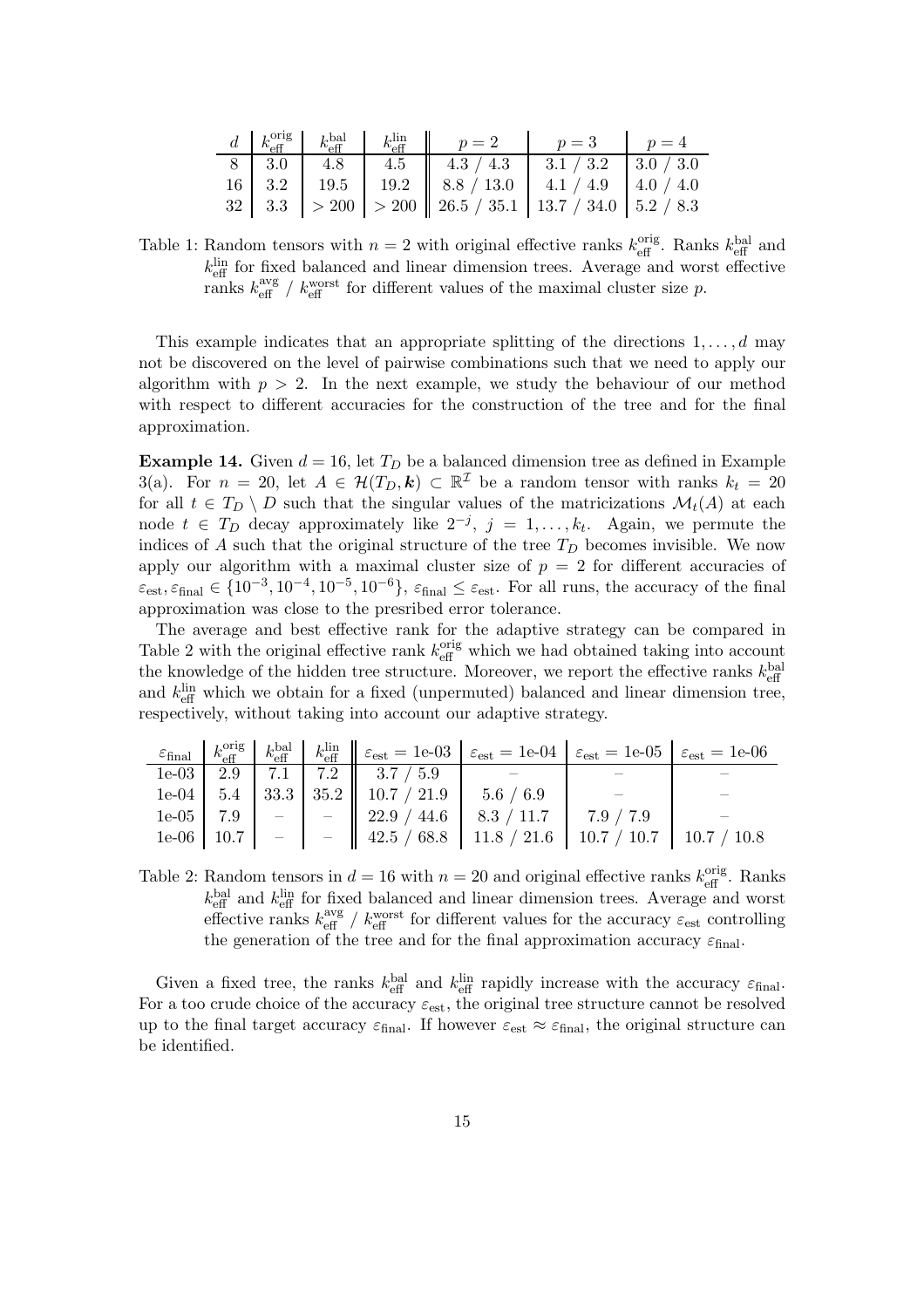|  |  | $\begin{array}{c c c c c c c c c} d & k_{\text{eff}}^{\text{orig}} & k_{\text{eff}}^{\text{bal}} & k_{\text{eff}}^{\text{lin}} & p=2 & p=3 & p=4 \end{array}$                                       |  |
|--|--|-----------------------------------------------------------------------------------------------------------------------------------------------------------------------------------------------------|--|
|  |  | $\begin{array}{ c c c c c c c c c c c } \hline 8 & 3.0 & 4.8 & 4.5 & 4.3 & 4.3 & 3.1 & 3.2 & 3.0 & 3.0 \\ \hline 16 & 3.2 & 19.5 & 19.2 & 8.8 & 13.0 & 4.1 & 4.9 & 4.0 & 4.0 \\ \hline \end{array}$ |  |
|  |  |                                                                                                                                                                                                     |  |
|  |  | $32 \mid 3.3 \mid$ > 200   > 200   26.5 / 35.1   13.7 / 34.0   5.2 / 8.3                                                                                                                            |  |

Table 1: Random tensors with  $n=2$  with original effective ranks  $k_{\text{eff}}^{\text{orig}}$ . Ranks  $k_{\text{eff}}^{\text{bal}}$  and  $k_{\text{eff}}^{\text{lin}}$  for fixed balanced and linear dimension trees. Average and worst effective ranks  $k_{\text{eff}}^{\text{avg}}$  /  $k_{\text{eff}}^{\text{worst}}$  for different values of the maximal cluster size p.

This example indicates that an appropriate splitting of the directions  $1, \ldots, d$  may not be discovered on the level of pairwise combinations such that we need to apply our algorithm with  $p > 2$ . In the next example, we study the behaviour of our method with respect to different accuracies for the construction of the tree and for the final approximation.

**Example 14.** Given  $d = 16$ , let  $T<sub>D</sub>$  be a balanced dimension tree as defined in Example 3(a). For  $n = 20$ , let  $A \in \mathcal{H}(T_D, \mathbf{k}) \subset \mathbb{R}^{\mathcal{I}}$  be a random tensor with ranks  $k_t = 20$ for all  $t \in T_D \setminus D$  such that the singular values of the matricizations  $\mathcal{M}_t(A)$  at each node  $t \in T_D$  decay approximately like  $2^{-j}$ ,  $j = 1, \ldots, k_t$ . Again, we permute the indices of A such that the original structure of the tree  $T_D$  becomes invisible. We now apply our algorithm with a maximal cluster size of  $p = 2$  for different accuracies of  $\varepsilon_{est}, \varepsilon_{final} \in \{10^{-3}, 10^{-4}, 10^{-5}, 10^{-6}\}, \varepsilon_{final} \le \varepsilon_{est}$ . For all runs, the accuracy of the final approximation was close to the presribed error tolerance.

The average and best effective rank for the adaptive strategy can be compared in Table 2 with the original effective rank  $k_{\text{eff}}^{\text{orig}}$  which we had obtained taking into account the knowledge of the hidden tree structure. Moreover, we report the effective ranks  $k_{\text{eff}}^{\text{bal}}$ and  $k_{\text{eff}}^{\text{lin}}$  which we obtain for a fixed (unpermuted) balanced and linear dimension tree, respectively, without taking into account our adaptive strategy.

|  |  | $\varepsilon_{\text{final}}$ $k_{\text{eff}}^{\text{orig}}$ $k_{\text{eff}}^{\text{bal}}$ $k_{\text{eff}}^{\text{lin}}$ $\parallel \varepsilon_{\text{est}} = 1e{\text{-}}03$ $\parallel \varepsilon_{\text{est}} = 1e{\text{-}}04$ $\parallel \varepsilon_{\text{est}} = 1e{\text{-}}05$ $\parallel \varepsilon_{\text{est}} = 1e{\text{-}}06$ |  |  |
|--|--|-------------------------------------------------------------------------------------------------------------------------------------------------------------------------------------------------------------------------------------------------------------------------------------------------------------------------------------------------|--|--|
|  |  | $1e-03$   2.9   7.1   7.2   3.7 / 5.9                                                                                                                                                                                                                                                                                                           |  |  |
|  |  | 1e-04   5.4   33.3   35.2    10.7 / 21.9   5.6 / 6.9                                                                                                                                                                                                                                                                                            |  |  |
|  |  |                                                                                                                                                                                                                                                                                                                                                 |  |  |
|  |  |                                                                                                                                                                                                                                                                                                                                                 |  |  |

Table 2: Random tensors in  $d = 16$  with  $n = 20$  and original effective ranks  $k_{\text{eff}}^{\text{orig}}$ . Ranks  $k_{\text{eff}}^{\text{bal}}$  and  $k_{\text{eff}}^{\text{lin}}$  for fixed balanced and linear dimension trees. Average and worst effective ranks  $k_{\text{eff}}^{\text{avg}}$  /  $k_{\text{eff}}^{\text{worst}}$  for different values for the accuracy  $\varepsilon_{\text{est}}$  controlling the generation of the tree and for the final approximation accuracy  $\varepsilon_{final}$ .

Given a fixed tree, the ranks  $k_{\text{eff}}^{\text{bal}}$  and  $k_{\text{eff}}^{\text{lin}}$  rapidly increase with the accuracy  $\varepsilon_{\text{final}}$ . For a too crude choice of the accuracy  $\varepsilon_{est}$ , the original tree structure cannot be resolved up to the final target accuracy  $\varepsilon_{\text{final}}$ . If however  $\varepsilon_{\text{est}} \approx \varepsilon_{\text{final}}$ , the original structure can be identified.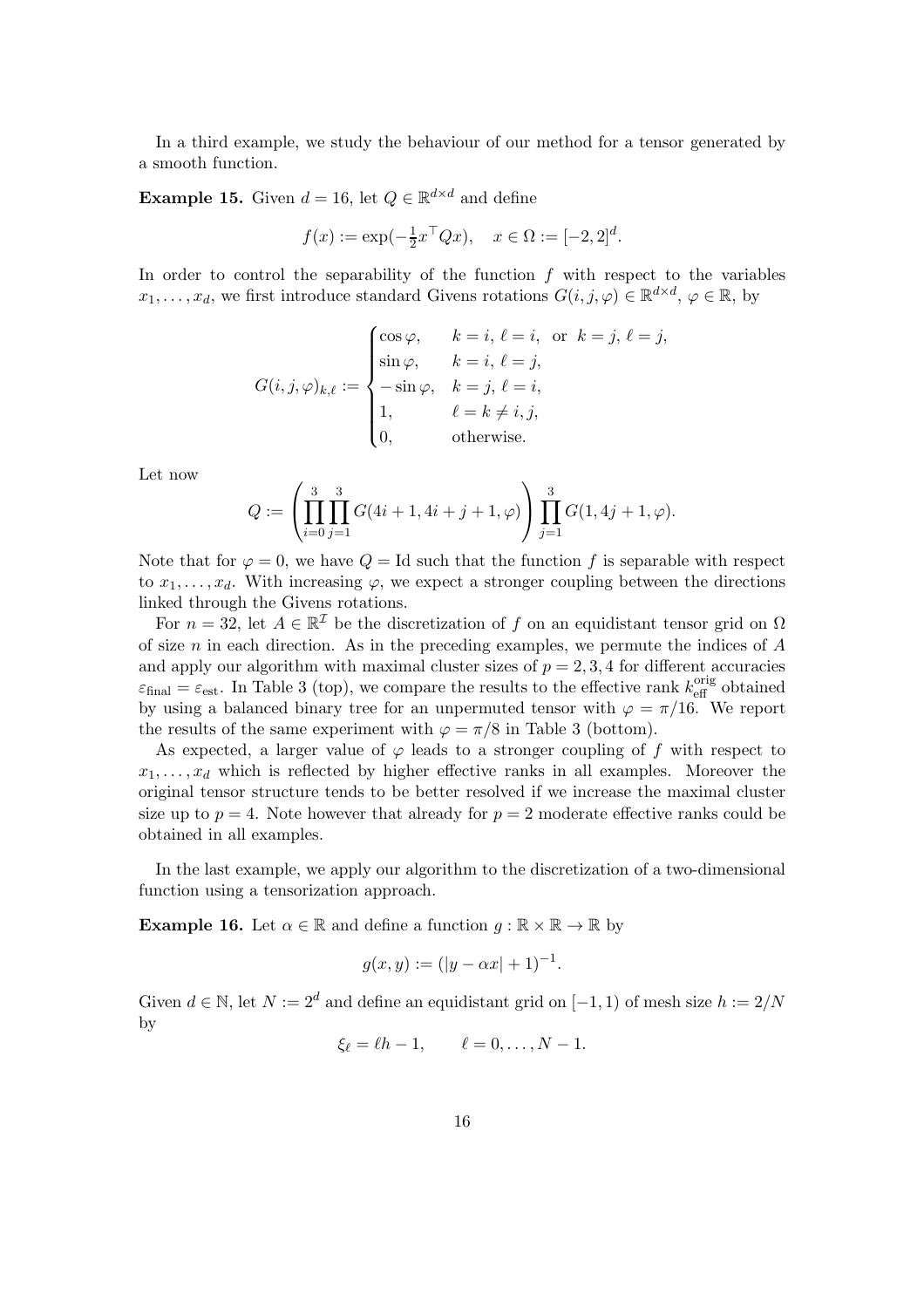In a third example, we study the behaviour of our method for a tensor generated by a smooth function.

**Example 15.** Given  $d = 16$ , let  $Q \in \mathbb{R}^{d \times d}$  and define

$$
f(x) := \exp(-\frac{1}{2}x^{\top}Qx), \quad x \in \Omega := [-2, 2]^d.
$$

In order to control the separability of the function  $f$  with respect to the variables  $x_1, \ldots, x_d$ , we first introduce standard Givens rotations  $G(i, j, \varphi) \in \mathbb{R}^{d \times d}$ ,  $\varphi \in \mathbb{R}$ , by

$$
G(i,j,\varphi)_{k,\ell} := \begin{cases} \cos\varphi, & k = i, \ \ell = i, \text{ or } k = j, \ \ell = j, \\ \sin\varphi, & k = i, \ \ell = j, \\ -\sin\varphi, & k = j, \ \ell = i, \\ 1, & \ell = k \neq i, j, \\ 0, & \text{otherwise.} \end{cases}
$$

Let now

$$
Q := \left( \prod_{i=0}^{3} \prod_{j=1}^{3} G(4i + 1, 4i + j + 1, \varphi) \right) \prod_{j=1}^{3} G(1, 4j + 1, \varphi).
$$

Note that for  $\varphi = 0$ , we have  $Q = Id$  such that the function f is separable with respect to  $x_1, \ldots, x_d$ . With increasing  $\varphi$ , we expect a stronger coupling between the directions linked through the Givens rotations.

For  $n = 32$ , let  $A \in \mathbb{R}^{\mathcal{I}}$  be the discretization of f on an equidistant tensor grid on  $\Omega$ of size  $n$  in each direction. As in the preceding examples, we permute the indices of  $A$ and apply our algorithm with maximal cluster sizes of  $p = 2, 3, 4$  for different accuracies  $\varepsilon_{\text{final}} = \varepsilon_{\text{est}}$ . In Table 3 (top), we compare the results to the effective rank  $k_{\text{eff}}^{\text{orig}}$  obtained by using a balanced binary tree for an unpermuted tensor with  $\varphi = \pi/16$ . We report the results of the same experiment with  $\varphi = \pi/8$  in Table 3 (bottom).

As expected, a larger value of  $\varphi$  leads to a stronger coupling of f with respect to  $x_1, \ldots, x_d$  which is reflected by higher effective ranks in all examples. Moreover the original tensor structure tends to be better resolved if we increase the maximal cluster size up to  $p = 4$ . Note however that already for  $p = 2$  moderate effective ranks could be obtained in all examples.

In the last example, we apply our algorithm to the discretization of a two-dimensional function using a tensorization approach.

**Example 16.** Let  $\alpha \in \mathbb{R}$  and define a function  $g : \mathbb{R} \times \mathbb{R} \to \mathbb{R}$  by

$$
g(x, y) := (|y - \alpha x| + 1)^{-1}.
$$

Given  $d \in \mathbb{N}$ , let  $N := 2^d$  and define an equidistant grid on [−1, 1) of mesh size  $h := 2/N$ by

$$
\xi_{\ell} = \ell h - 1, \qquad \ell = 0, \ldots, N - 1.
$$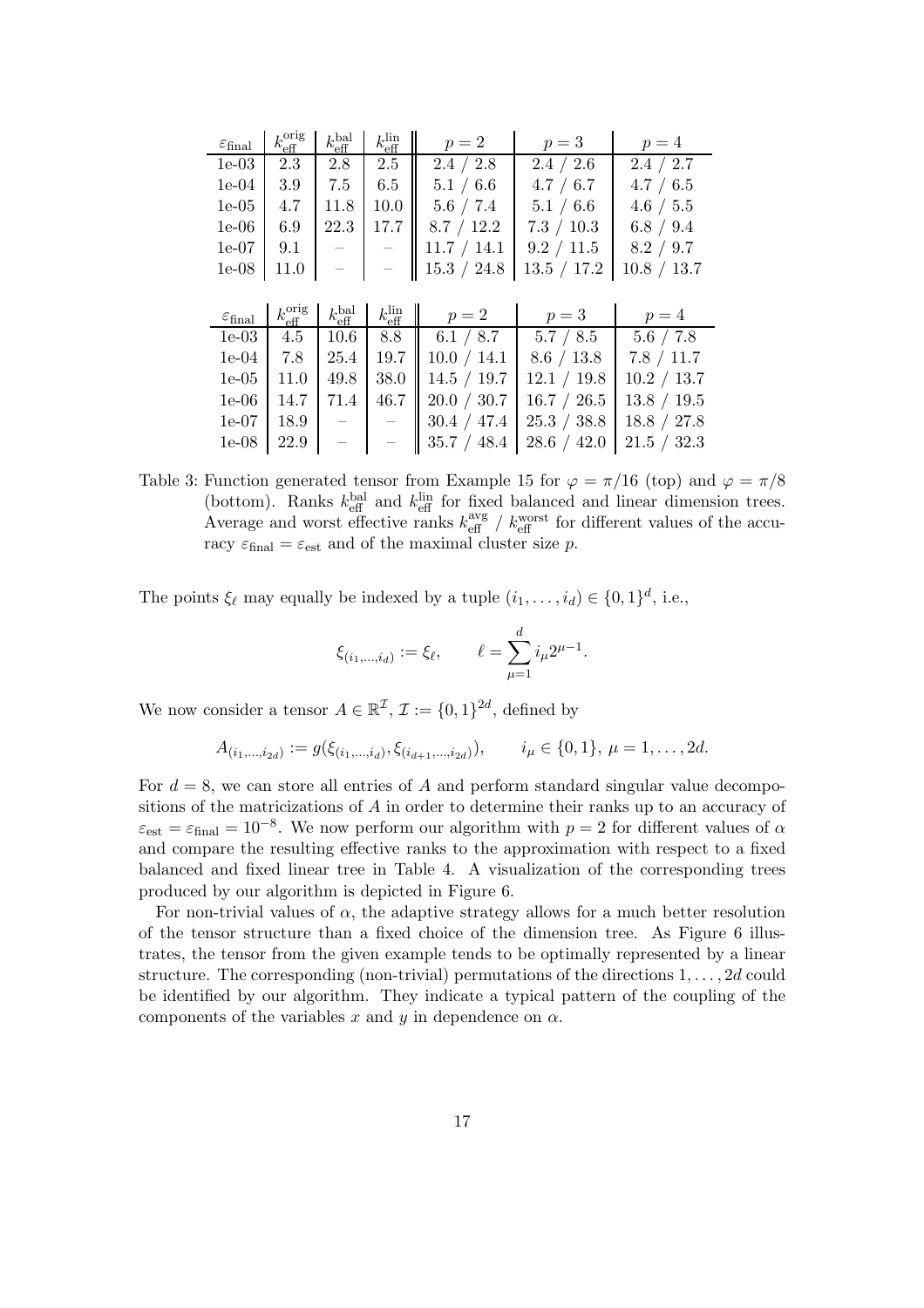| $\varepsilon_{\rm final}$ | $k_{\text{eff}}^{\text{orig}}$ | $k_{\rm eff}^{\rm bal}$  | $k_{\hbox{\scriptsize eff}}^{\rm lin}$ | $p=2$           | $p=3$       | $p=4$       |
|---------------------------|--------------------------------|--------------------------|----------------------------------------|-----------------|-------------|-------------|
| $1e-03$                   | 2.3                            | 2.8                      | $2.5\,$                                | 2.4 / 2.8       | 2.4 / 2.6   | 2.4 / 2.7   |
| $1e-04$                   | 3.9                            | 7.5                      | $6.5\,$                                | $5.1\; / \;6.6$ | 4.7 / 6.7   | 4.7 / 6.5   |
| $1e-05$                   | 4.7                            | 11.8                     | 10.0                                   | 5.6 / 7.4       | 5.1 / 6.6   | 4.6 / 5.5   |
| $1e-06$                   | 6.9                            | 22.3                     | 17.7                                   | 8.7 / 12.2      | 7.3 / 10.3  | 6.8 / 9.4   |
| $1e-07$                   | 9.1                            | $\overline{\phantom{0}}$ | $\overline{\phantom{0}}$               | 11.7 / 14.1     | 9.2 / 11.5  | 8.2 / 9.7   |
| $1e-08$                   | 11.0                           | $\qquad \qquad -$        |                                        | 15.3 / 24.8     | 13.5 / 17.2 | 10.8 / 13.7 |
|                           |                                |                          |                                        |                 |             |             |
|                           |                                |                          |                                        |                 |             |             |
| $\varepsilon$ final       | $k_{\text{eff}}^{\text{orig}}$ | $k_{\rm eff}^{\rm bal}$  | $k_{\rm eff}^{\rm lin}$                | $p=2$           | $p=3$       | $p=4$       |
| $1e-03$                   | 4.5                            | 10.6                     | 8.8                                    | 6.1 $/$ 8.7     | 5.7 / 8.5   | 5.6 / 7.8   |
| $1e-04$                   | 7.8                            | 25.4                     | 19.7                                   | 10.0 / 14.1     | 8.6 / 13.8  | 7.8 / 11.7  |
| $1e-05$                   | 11.0                           | 49.8                     | 38.0                                   | 14.5 / 19.7     | 12.1 / 19.8 | 10.2 / 13.7 |
| $1e-06$                   | 14.7                           | 71.4                     | 46.7                                   | 20.0 / 30.7     | 16.7 / 26.5 | 13.8 / 19.5 |
| $1e-07$                   | 18.9                           | $\equiv$                 |                                        | 30.4 / 47.4     | 25.3 / 38.8 | 18.8 / 27.8 |

Table 3: Function generated tensor from Example 15 for  $\varphi = \pi/16$  (top) and  $\varphi = \pi/8$ (bottom). Ranks  $k_{\text{eff}}^{\text{bal}}$  and  $k_{\text{eff}}^{\text{lin}}$  for fixed balanced and linear dimension trees. Average and worst effective ranks  $k_{\text{eff}}^{\text{avg}}$  /  $k_{\text{eff}}^{\text{worst}}$  for different values of the accuracy  $\varepsilon_{\text{final}} = \varepsilon_{\text{est}}$  and of the maximal cluster size p.

The points  $\xi_{\ell}$  may equally be indexed by a tuple  $(i_1, \ldots, i_d) \in \{0, 1\}^d$ , i.e.,

$$
\xi_{(i_1,\ldots,i_d)}:=\xi_\ell, \qquad \ell=\sum_{\mu=1}^d i_\mu 2^{\mu-1}.
$$

We now consider a tensor  $A \in \mathbb{R}^{\mathcal{I}}$ ,  $\mathcal{I} := \{0,1\}^{2d}$ , defined by

$$
A_{(i_1,\ldots,i_{2d})} := g(\xi_{(i_1,\ldots,i_d)},\xi_{(i_{d+1},\ldots,i_{2d})}), \qquad i_\mu \in \{0,1\}, \ \mu = 1,\ldots,2d.
$$

For  $d = 8$ , we can store all entries of A and perform standard singular value decompositions of the matricizations of A in order to determine their ranks up to an accuracy of  $\varepsilon_{\text{est}} = \varepsilon_{\text{final}} = 10^{-8}$ . We now perform our algorithm with  $p = 2$  for different values of  $\alpha$ and compare the resulting effective ranks to the approximation with respect to a fixed balanced and fixed linear tree in Table 4. A visualization of the corresponding trees produced by our algorithm is depicted in Figure 6.

For non-trivial values of  $\alpha$ , the adaptive strategy allows for a much better resolution of the tensor structure than a fixed choice of the dimension tree. As Figure 6 illustrates, the tensor from the given example tends to be optimally represented by a linear structure. The corresponding (non-trivial) permutations of the directions  $1, \ldots, 2d$  could be identified by our algorithm. They indicate a typical pattern of the coupling of the components of the variables x and y in dependence on  $\alpha$ .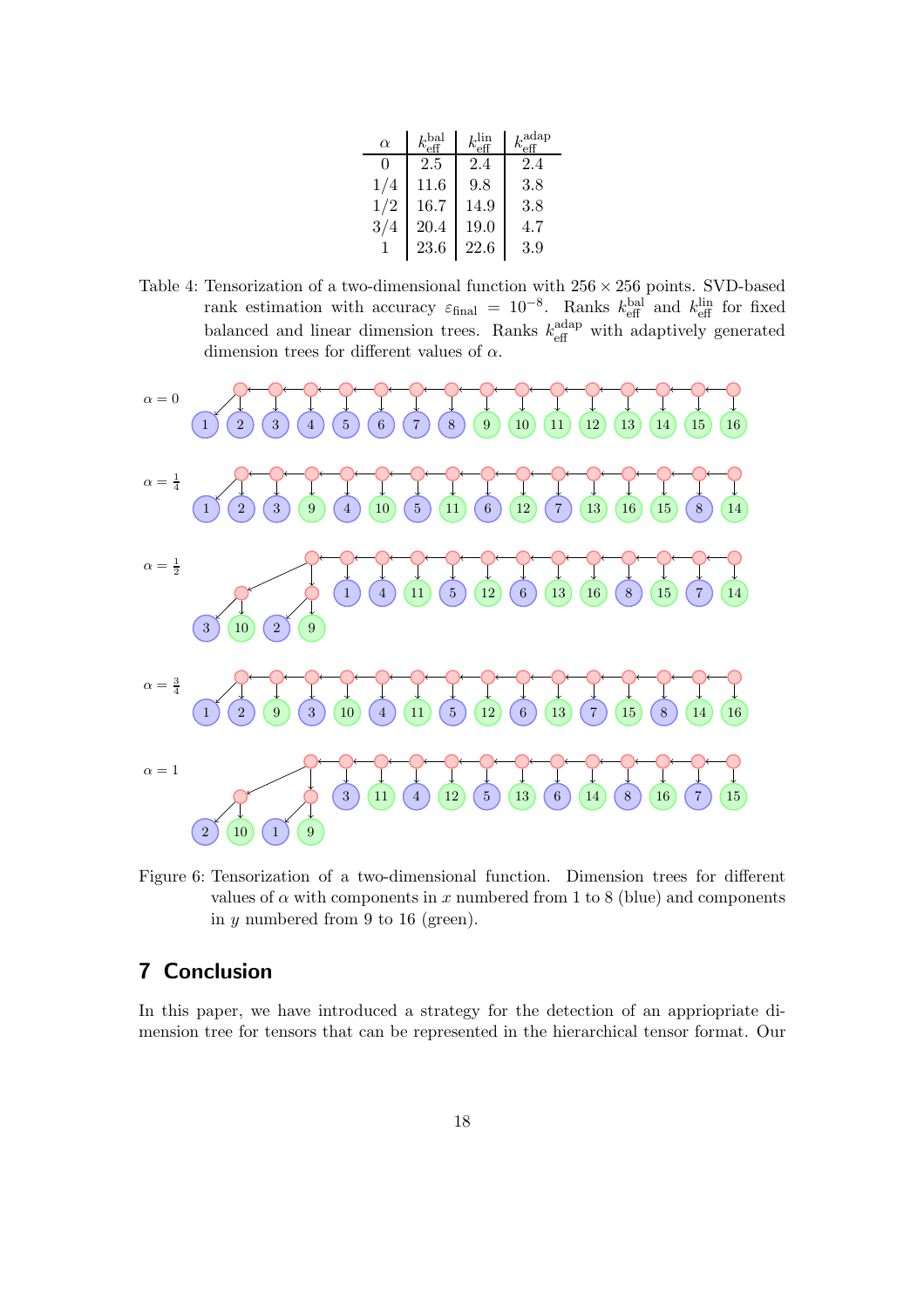| $\alpha$ | $k_{\text{eff}}^{\text{bal}}$ |      | $k^{\rm adap}$ |
|----------|-------------------------------|------|----------------|
|          | 2.5                           | 2.4  | 24             |
| 1/4      | 11.6                          | 9.8  | 3.8            |
| 1/2      | 16.7                          | 14.9 | 3.8            |
| 3/4      | 20.4                          | 19.0 | 4.7            |
|          | 23.6                          | 22.6 | 3.9            |

Table 4: Tensorization of a two-dimensional function with  $256 \times 256$  points. SVD-based rank estimation with accuracy  $\varepsilon_{\text{final}} = 10^{-8}$ . Ranks  $k_{\text{eff}}^{\text{bal}}$  and  $k_{\text{eff}}^{\text{lin}}$  for fixed balanced and linear dimension trees. Ranks  $k_{\text{eff}}^{\text{adap}}$  with adaptively generated dimension trees for different values of  $\alpha$ .



Figure 6: Tensorization of a two-dimensional function. Dimension trees for different values of  $\alpha$  with components in x numbered from 1 to 8 (blue) and components in y numbered from 9 to 16 (green).

## 7 Conclusion

In this paper, we have introduced a strategy for the detection of an appriopriate dimension tree for tensors that can be represented in the hierarchical tensor format. Our